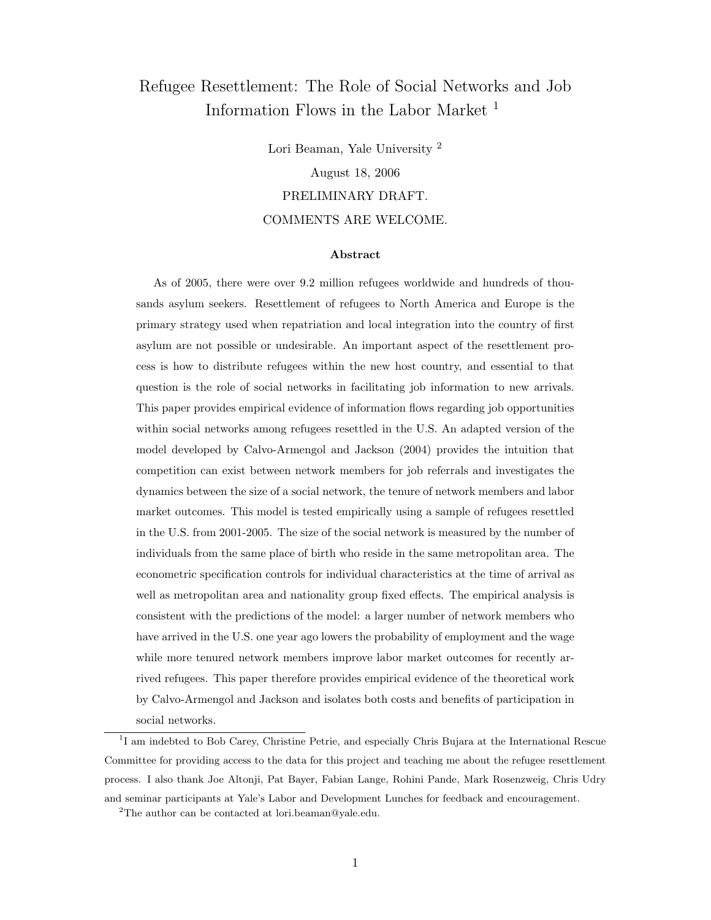# Refugee Resettlement: The Role of Social Networks and Job Information Flows in the Labor Market <sup>1</sup>

Lori Beaman, Yale University <sup>2</sup> August 18, 2006 PRELIMINARY DRAFT. COMMENTS ARE WELCOME.

#### Abstract

As of 2005, there were over 9.2 million refugees worldwide and hundreds of thousands asylum seekers. Resettlement of refugees to North America and Europe is the primary strategy used when repatriation and local integration into the country of first asylum are not possible or undesirable. An important aspect of the resettlement process is how to distribute refugees within the new host country, and essential to that question is the role of social networks in facilitating job information to new arrivals. This paper provides empirical evidence of information flows regarding job opportunities within social networks among refugees resettled in the U.S. An adapted version of the model developed by Calvo-Armengol and Jackson (2004) provides the intuition that competition can exist between network members for job referrals and investigates the dynamics between the size of a social network, the tenure of network members and labor market outcomes. This model is tested empirically using a sample of refugees resettled in the U.S. from 2001-2005. The size of the social network is measured by the number of individuals from the same place of birth who reside in the same metropolitan area. The econometric specification controls for individual characteristics at the time of arrival as well as metropolitan area and nationality group fixed effects. The empirical analysis is consistent with the predictions of the model: a larger number of network members who have arrived in the U.S. one year ago lowers the probability of employment and the wage while more tenured network members improve labor market outcomes for recently arrived refugees. This paper therefore provides empirical evidence of the theoretical work by Calvo-Armengol and Jackson and isolates both costs and benefits of participation in social networks.

<sup>1</sup>I am indebted to Bob Carey, Christine Petrie, and especially Chris Bujara at the International Rescue Committee for providing access to the data for this project and teaching me about the refugee resettlement process. I also thank Joe Altonji, Pat Bayer, Fabian Lange, Rohini Pande, Mark Rosenzweig, Chris Udry and seminar participants at Yale's Labor and Development Lunches for feedback and encouragement.

<sup>2</sup>The author can be contacted at lori.beaman@yale.edu.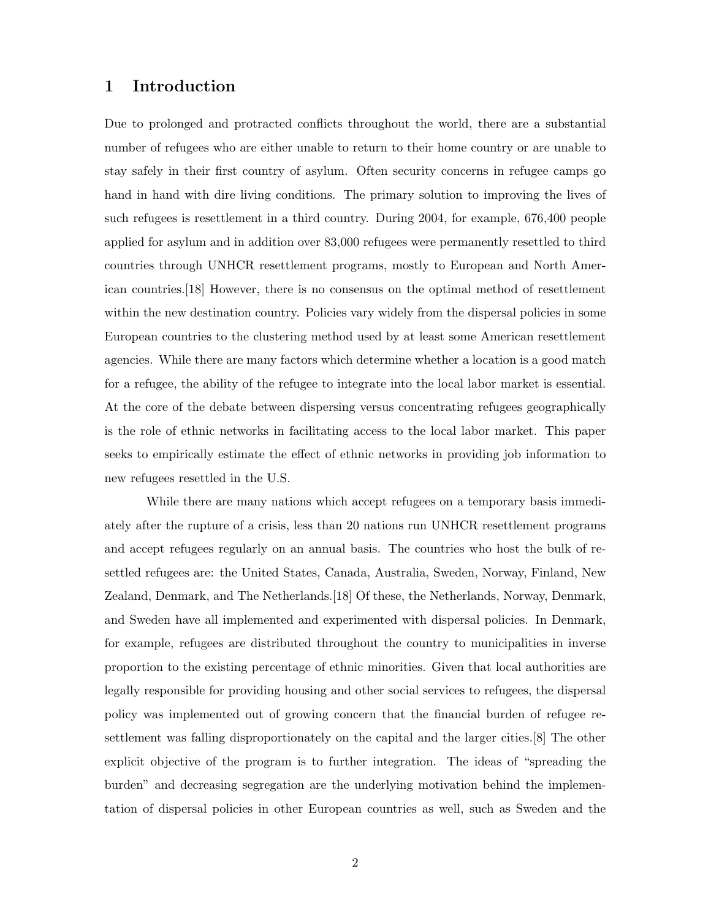# 1 Introduction

Due to prolonged and protracted conflicts throughout the world, there are a substantial number of refugees who are either unable to return to their home country or are unable to stay safely in their first country of asylum. Often security concerns in refugee camps go hand in hand with dire living conditions. The primary solution to improving the lives of such refugees is resettlement in a third country. During 2004, for example, 676,400 people applied for asylum and in addition over 83,000 refugees were permanently resettled to third countries through UNHCR resettlement programs, mostly to European and North American countries.[18] However, there is no consensus on the optimal method of resettlement within the new destination country. Policies vary widely from the dispersal policies in some European countries to the clustering method used by at least some American resettlement agencies. While there are many factors which determine whether a location is a good match for a refugee, the ability of the refugee to integrate into the local labor market is essential. At the core of the debate between dispersing versus concentrating refugees geographically is the role of ethnic networks in facilitating access to the local labor market. This paper seeks to empirically estimate the effect of ethnic networks in providing job information to new refugees resettled in the U.S.

While there are many nations which accept refugees on a temporary basis immediately after the rupture of a crisis, less than 20 nations run UNHCR resettlement programs and accept refugees regularly on an annual basis. The countries who host the bulk of resettled refugees are: the United States, Canada, Australia, Sweden, Norway, Finland, New Zealand, Denmark, and The Netherlands.[18] Of these, the Netherlands, Norway, Denmark, and Sweden have all implemented and experimented with dispersal policies. In Denmark, for example, refugees are distributed throughout the country to municipalities in inverse proportion to the existing percentage of ethnic minorities. Given that local authorities are legally responsible for providing housing and other social services to refugees, the dispersal policy was implemented out of growing concern that the financial burden of refugee resettlement was falling disproportionately on the capital and the larger cities.[8] The other explicit objective of the program is to further integration. The ideas of "spreading the burden" and decreasing segregation are the underlying motivation behind the implementation of dispersal policies in other European countries as well, such as Sweden and the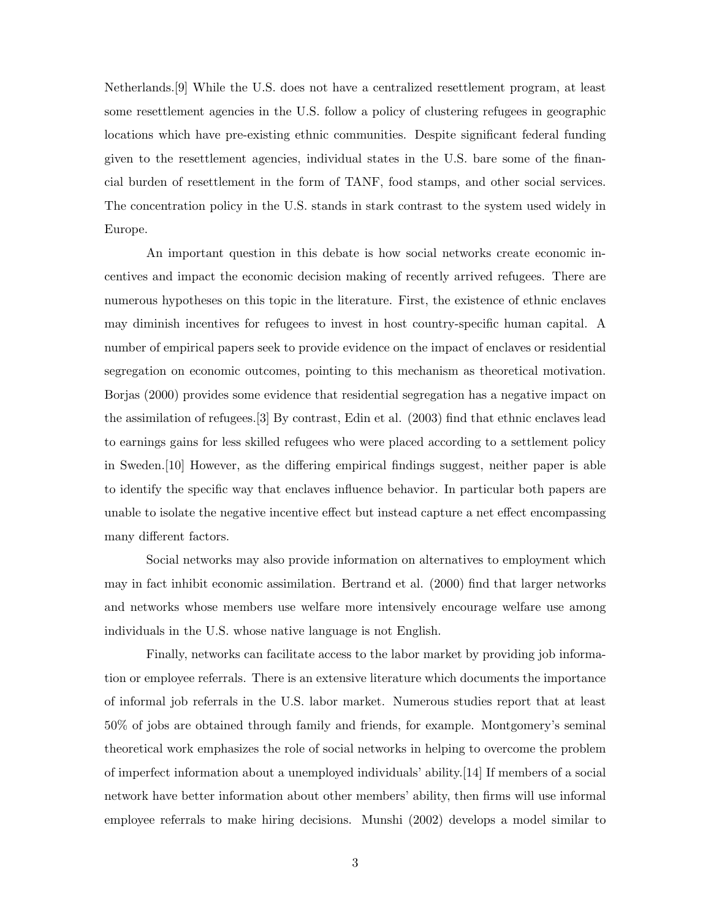Netherlands.[9] While the U.S. does not have a centralized resettlement program, at least some resettlement agencies in the U.S. follow a policy of clustering refugees in geographic locations which have pre-existing ethnic communities. Despite significant federal funding given to the resettlement agencies, individual states in the U.S. bare some of the financial burden of resettlement in the form of TANF, food stamps, and other social services. The concentration policy in the U.S. stands in stark contrast to the system used widely in Europe.

An important question in this debate is how social networks create economic incentives and impact the economic decision making of recently arrived refugees. There are numerous hypotheses on this topic in the literature. First, the existence of ethnic enclaves may diminish incentives for refugees to invest in host country-specific human capital. A number of empirical papers seek to provide evidence on the impact of enclaves or residential segregation on economic outcomes, pointing to this mechanism as theoretical motivation. Borjas (2000) provides some evidence that residential segregation has a negative impact on the assimilation of refugees.[3] By contrast, Edin et al. (2003) find that ethnic enclaves lead to earnings gains for less skilled refugees who were placed according to a settlement policy in Sweden.[10] However, as the differing empirical findings suggest, neither paper is able to identify the specific way that enclaves influence behavior. In particular both papers are unable to isolate the negative incentive effect but instead capture a net effect encompassing many different factors.

Social networks may also provide information on alternatives to employment which may in fact inhibit economic assimilation. Bertrand et al. (2000) find that larger networks and networks whose members use welfare more intensively encourage welfare use among individuals in the U.S. whose native language is not English.

Finally, networks can facilitate access to the labor market by providing job information or employee referrals. There is an extensive literature which documents the importance of informal job referrals in the U.S. labor market. Numerous studies report that at least 50% of jobs are obtained through family and friends, for example. Montgomery's seminal theoretical work emphasizes the role of social networks in helping to overcome the problem of imperfect information about a unemployed individuals' ability.[14] If members of a social network have better information about other members' ability, then firms will use informal employee referrals to make hiring decisions. Munshi (2002) develops a model similar to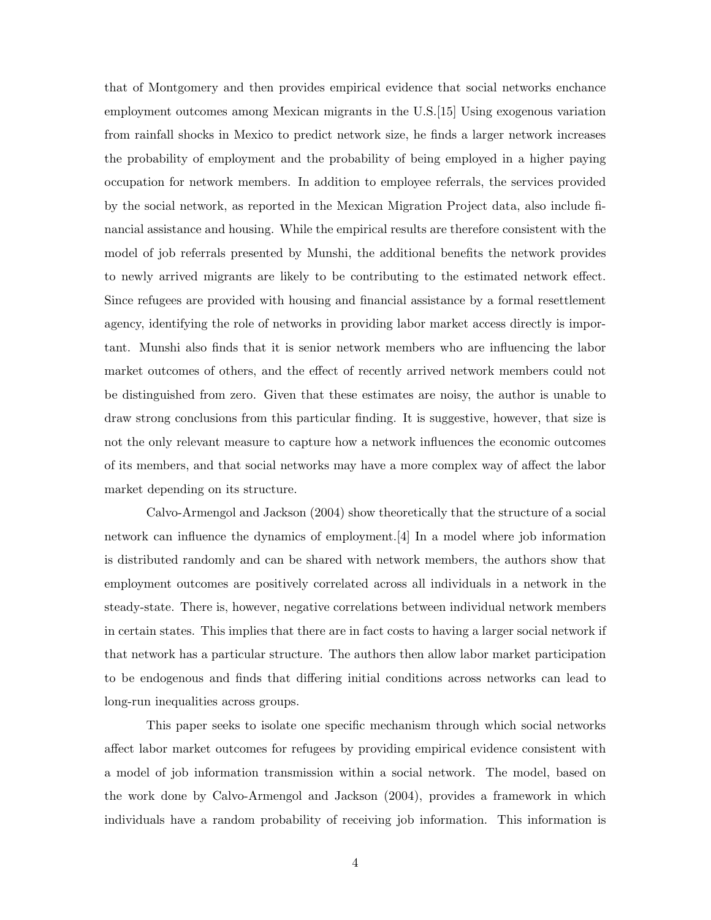that of Montgomery and then provides empirical evidence that social networks enchance employment outcomes among Mexican migrants in the U.S.[15] Using exogenous variation from rainfall shocks in Mexico to predict network size, he finds a larger network increases the probability of employment and the probability of being employed in a higher paying occupation for network members. In addition to employee referrals, the services provided by the social network, as reported in the Mexican Migration Project data, also include financial assistance and housing. While the empirical results are therefore consistent with the model of job referrals presented by Munshi, the additional benefits the network provides to newly arrived migrants are likely to be contributing to the estimated network effect. Since refugees are provided with housing and financial assistance by a formal resettlement agency, identifying the role of networks in providing labor market access directly is important. Munshi also finds that it is senior network members who are influencing the labor market outcomes of others, and the effect of recently arrived network members could not be distinguished from zero. Given that these estimates are noisy, the author is unable to draw strong conclusions from this particular finding. It is suggestive, however, that size is not the only relevant measure to capture how a network influences the economic outcomes of its members, and that social networks may have a more complex way of affect the labor market depending on its structure.

Calvo-Armengol and Jackson (2004) show theoretically that the structure of a social network can influence the dynamics of employment.[4] In a model where job information is distributed randomly and can be shared with network members, the authors show that employment outcomes are positively correlated across all individuals in a network in the steady-state. There is, however, negative correlations between individual network members in certain states. This implies that there are in fact costs to having a larger social network if that network has a particular structure. The authors then allow labor market participation to be endogenous and finds that differing initial conditions across networks can lead to long-run inequalities across groups.

This paper seeks to isolate one specific mechanism through which social networks affect labor market outcomes for refugees by providing empirical evidence consistent with a model of job information transmission within a social network. The model, based on the work done by Calvo-Armengol and Jackson (2004), provides a framework in which individuals have a random probability of receiving job information. This information is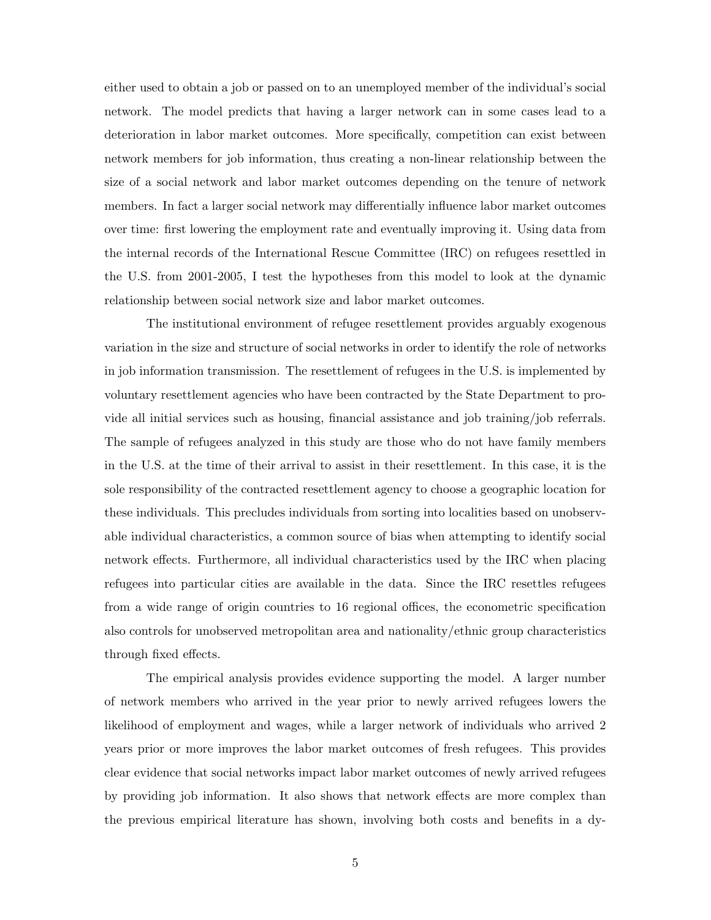either used to obtain a job or passed on to an unemployed member of the individual's social network. The model predicts that having a larger network can in some cases lead to a deterioration in labor market outcomes. More specifically, competition can exist between network members for job information, thus creating a non-linear relationship between the size of a social network and labor market outcomes depending on the tenure of network members. In fact a larger social network may differentially influence labor market outcomes over time: first lowering the employment rate and eventually improving it. Using data from the internal records of the International Rescue Committee (IRC) on refugees resettled in the U.S. from 2001-2005, I test the hypotheses from this model to look at the dynamic relationship between social network size and labor market outcomes.

The institutional environment of refugee resettlement provides arguably exogenous variation in the size and structure of social networks in order to identify the role of networks in job information transmission. The resettlement of refugees in the U.S. is implemented by voluntary resettlement agencies who have been contracted by the State Department to provide all initial services such as housing, financial assistance and job training/job referrals. The sample of refugees analyzed in this study are those who do not have family members in the U.S. at the time of their arrival to assist in their resettlement. In this case, it is the sole responsibility of the contracted resettlement agency to choose a geographic location for these individuals. This precludes individuals from sorting into localities based on unobservable individual characteristics, a common source of bias when attempting to identify social network effects. Furthermore, all individual characteristics used by the IRC when placing refugees into particular cities are available in the data. Since the IRC resettles refugees from a wide range of origin countries to 16 regional offices, the econometric specification also controls for unobserved metropolitan area and nationality/ethnic group characteristics through fixed effects.

The empirical analysis provides evidence supporting the model. A larger number of network members who arrived in the year prior to newly arrived refugees lowers the likelihood of employment and wages, while a larger network of individuals who arrived 2 years prior or more improves the labor market outcomes of fresh refugees. This provides clear evidence that social networks impact labor market outcomes of newly arrived refugees by providing job information. It also shows that network effects are more complex than the previous empirical literature has shown, involving both costs and benefits in a dy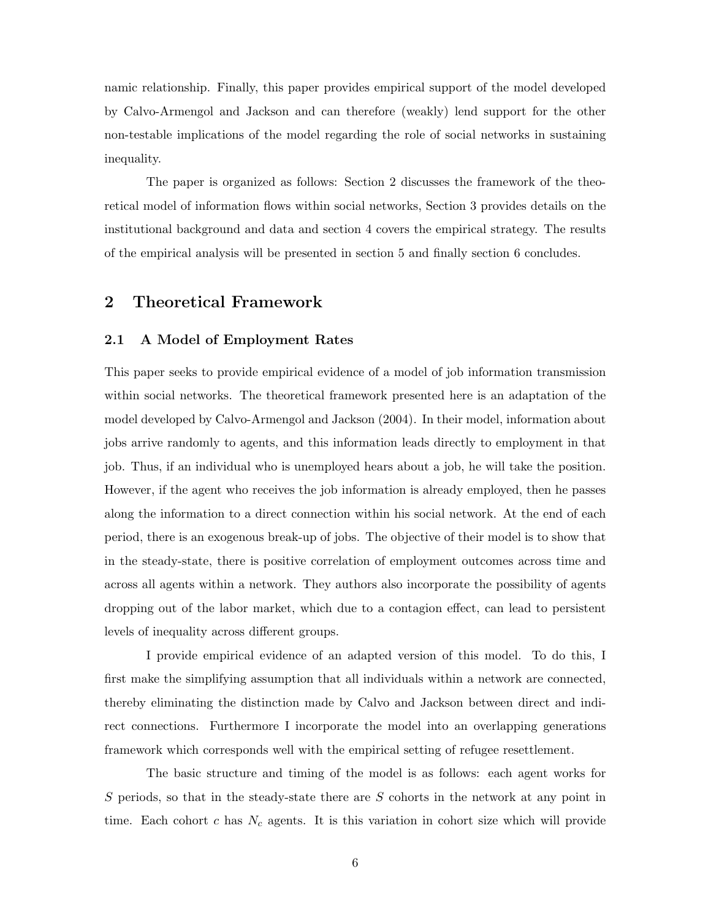namic relationship. Finally, this paper provides empirical support of the model developed by Calvo-Armengol and Jackson and can therefore (weakly) lend support for the other non-testable implications of the model regarding the role of social networks in sustaining inequality.

The paper is organized as follows: Section 2 discusses the framework of the theoretical model of information flows within social networks, Section 3 provides details on the institutional background and data and section 4 covers the empirical strategy. The results of the empirical analysis will be presented in section 5 and finally section 6 concludes.

# 2 Theoretical Framework

#### 2.1 A Model of Employment Rates

This paper seeks to provide empirical evidence of a model of job information transmission within social networks. The theoretical framework presented here is an adaptation of the model developed by Calvo-Armengol and Jackson (2004). In their model, information about jobs arrive randomly to agents, and this information leads directly to employment in that job. Thus, if an individual who is unemployed hears about a job, he will take the position. However, if the agent who receives the job information is already employed, then he passes along the information to a direct connection within his social network. At the end of each period, there is an exogenous break-up of jobs. The objective of their model is to show that in the steady-state, there is positive correlation of employment outcomes across time and across all agents within a network. They authors also incorporate the possibility of agents dropping out of the labor market, which due to a contagion effect, can lead to persistent levels of inequality across different groups.

I provide empirical evidence of an adapted version of this model. To do this, I first make the simplifying assumption that all individuals within a network are connected, thereby eliminating the distinction made by Calvo and Jackson between direct and indirect connections. Furthermore I incorporate the model into an overlapping generations framework which corresponds well with the empirical setting of refugee resettlement.

The basic structure and timing of the model is as follows: each agent works for  $S$  periods, so that in the steady-state there are  $S$  cohorts in the network at any point in time. Each cohort c has  $N_c$  agents. It is this variation in cohort size which will provide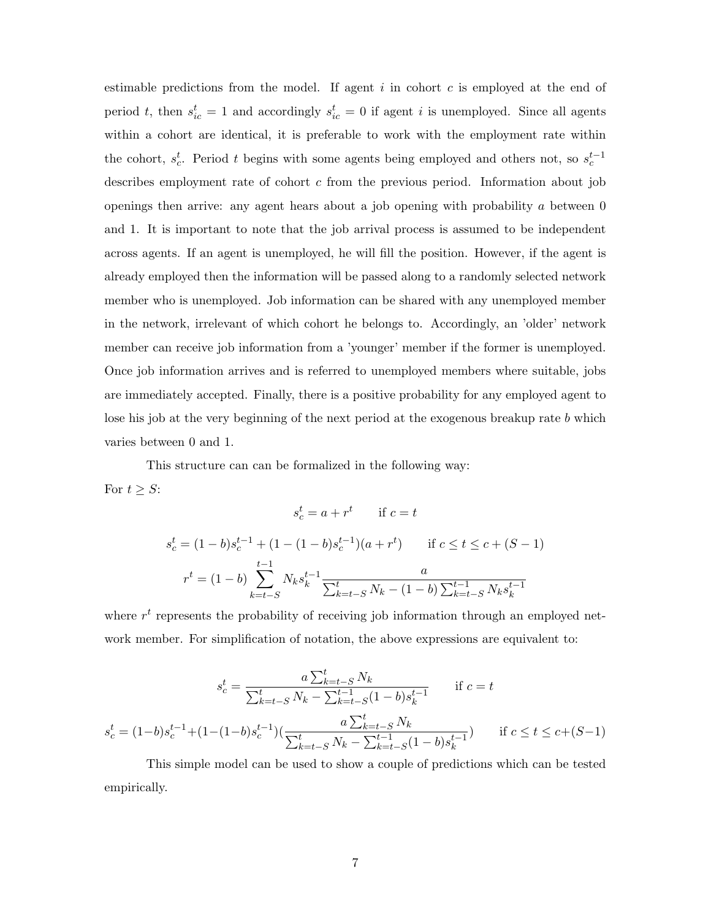estimable predictions from the model. If agent  $i$  in cohort  $c$  is employed at the end of period t, then  $s_{ic}^t = 1$  and accordingly  $s_{ic}^t = 0$  if agent i is unemployed. Since all agents within a cohort are identical, it is preferable to work with the employment rate within the cohort,  $s_c^t$ . Period t begins with some agents being employed and others not, so  $s_c^{t-1}$ describes employment rate of cohort c from the previous period. Information about job openings then arrive: any agent hears about a job opening with probability  $a$  between  $0$ and 1. It is important to note that the job arrival process is assumed to be independent across agents. If an agent is unemployed, he will fill the position. However, if the agent is already employed then the information will be passed along to a randomly selected network member who is unemployed. Job information can be shared with any unemployed member in the network, irrelevant of which cohort he belongs to. Accordingly, an 'older' network member can receive job information from a 'younger' member if the former is unemployed. Once job information arrives and is referred to unemployed members where suitable, jobs are immediately accepted. Finally, there is a positive probability for any employed agent to lose his job at the very beginning of the next period at the exogenous breakup rate b which varies between 0 and 1.

This structure can can be formalized in the following way: For  $t \geq S$ :

$$
s_c^t = a + r^t \quad \text{if } c = t
$$
  

$$
s_c^t = (1 - b)s_c^{t-1} + (1 - (1 - b)s_c^{t-1})(a + r^t) \quad \text{if } c \le t \le c + (S - 1)
$$
  

$$
r^t = (1 - b) \sum_{k=t-S}^{t-1} N_k s_k^{t-1} \frac{a}{\sum_{k=t-S}^t N_k - (1 - b) \sum_{k=t-S}^{t-1} N_k s_k^{t-1}}
$$

where  $r<sup>t</sup>$  represents the probability of receiving job information through an employed network member. For simplification of notation, the above expressions are equivalent to:

$$
s_c^t = \frac{a \sum_{k=t-S}^t N_k}{\sum_{k=t-S}^t N_k - \sum_{k=t-S}^{t-1} (1-b)s_k^{t-1}} \quad \text{if } c = t
$$
  

$$
s_c^t = (1-b)s_c^{t-1} + (1-(1-b)s_c^{t-1})(\frac{a \sum_{k=t-S}^t N_k}{\sum_{k=t-S}^t N_k - \sum_{k=t-S}^{t-1} (1-b)s_k^{t-1}}) \quad \text{if } c \le t \le c + (S-1)
$$

This simple model can be used to show a couple of predictions which can be tested empirically.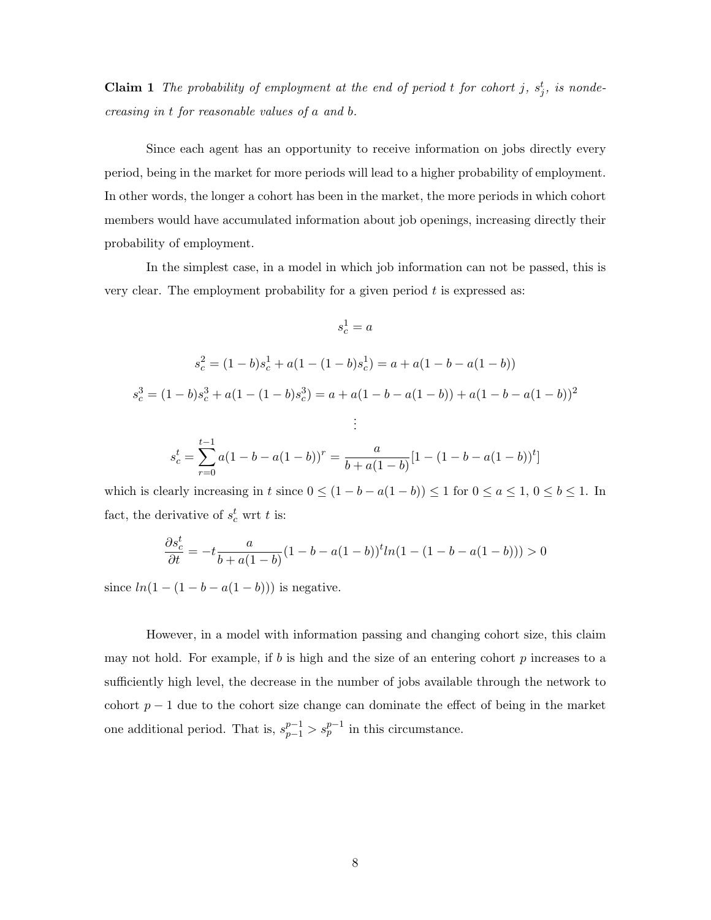**Claim 1** The probability of employment at the end of period t for cohort j,  $s_j^t$ , is nondecreasing in t for reasonable values of a and b.

Since each agent has an opportunity to receive information on jobs directly every period, being in the market for more periods will lead to a higher probability of employment. In other words, the longer a cohort has been in the market, the more periods in which cohort members would have accumulated information about job openings, increasing directly their probability of employment.

In the simplest case, in a model in which job information can not be passed, this is very clear. The employment probability for a given period  $t$  is expressed as:

$$
s_c^1 = a
$$
  
\n
$$
s_c^2 = (1 - b)s_c^1 + a(1 - (1 - b)s_c^1) = a + a(1 - b - a(1 - b))
$$
  
\n
$$
s_c^3 = (1 - b)s_c^3 + a(1 - (1 - b)s_c^3) = a + a(1 - b - a(1 - b)) + a(1 - b - a(1 - b))^2
$$
  
\n
$$
\vdots
$$
  
\n
$$
s_c^t = \sum_{r=0}^{t-1} a(1 - b - a(1 - b))^r = \frac{a}{b + a(1 - b)}[1 - (1 - b - a(1 - b))^t]
$$

which is clearly increasing in t since  $0 \leq (1 - b - a(1 - b)) \leq 1$  for  $0 \leq a \leq 1$ ,  $0 \leq b \leq 1$ . In fact, the derivative of  $s_c^t$  wrt t is:

$$
\frac{\partial s_c^t}{\partial t} = -t \frac{a}{b + a(1 - b)} (1 - b - a(1 - b))^t ln(1 - (1 - b - a(1 - b))) > 0
$$

since  $ln(1 - (1 - b - a(1 - b)))$  is negative.

However, in a model with information passing and changing cohort size, this claim may not hold. For example, if b is high and the size of an entering cohort  $p$  increases to a sufficiently high level, the decrease in the number of jobs available through the network to cohort  $p-1$  due to the cohort size change can dominate the effect of being in the market one additional period. That is,  $s_{p-1}^{p-1} > s_p^{p-1}$  in this circumstance.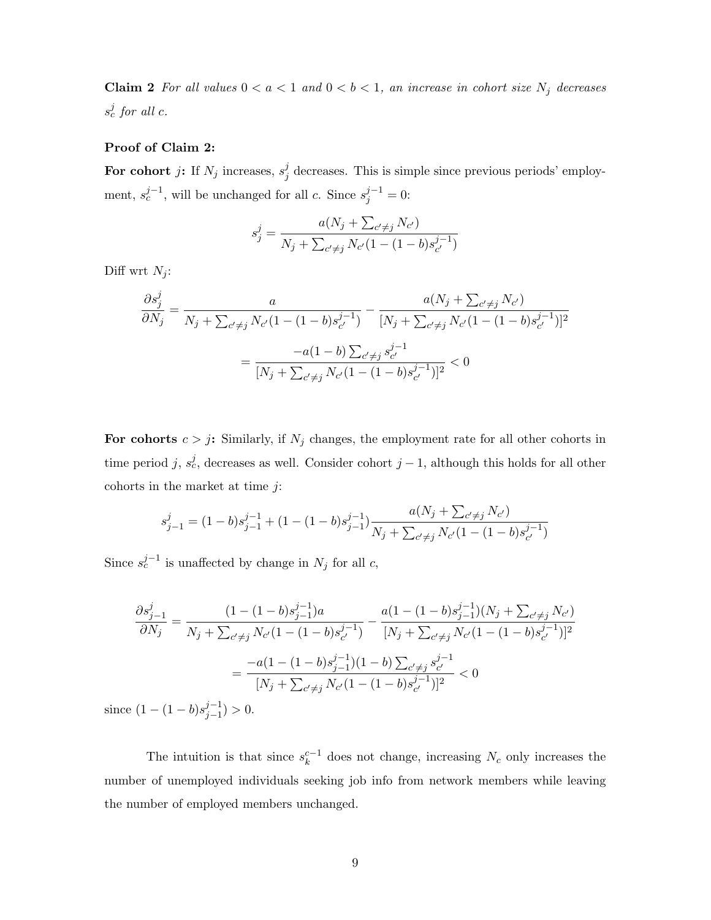Claim 2 For all values  $0 < a < 1$  and  $0 < b < 1$ , an increase in cohort size  $N_j$  decreases  $s_c^j$  for all c.

#### Proof of Claim 2:

For cohort j: If  $N_j$  increases,  $s_j^j$  $j$  decreases. This is simple since previous periods' employment,  $s_c^{j-1}$ , will be unchanged for all c. Since  $s_j^{j-1} = 0$ :

$$
s_j^j = \frac{a(N_j + \sum_{c' \neq j} N_{c'})}{N_j + \sum_{c' \neq j} N_{c'} (1 - (1 - b)s_{c'}^{j-1})}
$$

Diff wrt  $N_i$ :

$$
\frac{\partial s_j^j}{\partial N_j} = \frac{a}{N_j + \sum_{c' \neq j} N_{c'} (1 - (1 - b)s_{c'}^{j-1})} - \frac{a(N_j + \sum_{c' \neq j} N_{c'})}{[N_j + \sum_{c' \neq j} N_{c'} (1 - (1 - b)s_{c'}^{j-1})]^2}
$$

$$
= \frac{-a(1 - b) \sum_{c' \neq j} s_{c'}^{j-1}}{[N_j + \sum_{c' \neq j} N_{c'} (1 - (1 - b)s_{c'}^{j-1})]^2} < 0
$$

For cohorts  $c > j$ : Similarly, if  $N_j$  changes, the employment rate for all other cohorts in time period j,  $s_c^j$ , decreases as well. Consider cohort j – 1, although this holds for all other cohorts in the market at time  $j$ :

$$
s_{j-1}^j = (1-b)s_{j-1}^{j-1} + (1-(1-b)s_{j-1}^{j-1})\frac{a(N_j + \sum_{c' \neq j} N_{c'})}{N_j + \sum_{c' \neq j} N_{c'}(1-(1-b)s_{c'}^{j-1})}
$$

Since  $s_c^{j-1}$  is unaffected by change in  $N_j$  for all c,

$$
\frac{\partial s_{j-1}^j}{\partial N_j} = \frac{(1 - (1 - b)s_{j-1}^{j-1})a}{N_j + \sum_{c' \neq j} N_{c'} (1 - (1 - b)s_{c'}^{j-1})} - \frac{a(1 - (1 - b)s_{j-1}^{j-1})(N_j + \sum_{c' \neq j} N_{c'})}{[N_j + \sum_{c' \neq j} N_{c'} (1 - (1 - b)s_{c'}^{j-1})]^2}
$$

$$
= \frac{-a(1 - (1 - b)s_{j-1}^{j-1})(1 - b)\sum_{c' \neq j} s_{c'}^{j-1}}{[N_j + \sum_{c' \neq j} N_{c'} (1 - (1 - b)s_{c'}^{j-1})]^2} < 0
$$
(1, (1, b)s\_j^{j-1}) > 0

since  $(1 - (1 - b)s_{i-1}^{j-1})$  $j-1 \choose j-1 > 0.$ 

The intuition is that since  $s_k^{c-1}$  does not change, increasing  $N_c$  only increases the number of unemployed individuals seeking job info from network members while leaving the number of employed members unchanged.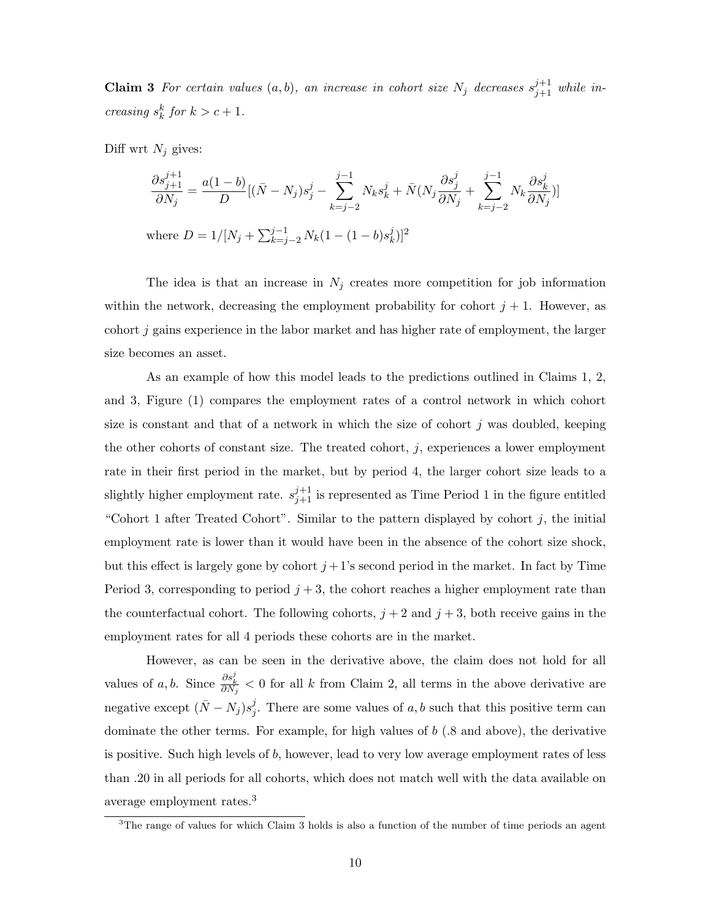**Claim 3** For certain values  $(a, b)$ , an increase in cohort size  $N_j$  decreases  $s_{j+1}^{j+1}$  while increasing  $s_k^k$  for  $k > c + 1$ .

Diff wrt  $N_j$  gives:

$$
\frac{\partial s_{j+1}^{j+1}}{\partial N_j} = \frac{a(1-b)}{D} [(\bar{N} - N_j)s_j^j - \sum_{k=j-2}^{j-1} N_k s_k^j + \bar{N}(N_j \frac{\partial s_j^j}{\partial N_j} + \sum_{k=j-2}^{j-1} N_k \frac{\partial s_k^j}{\partial N_j})]
$$
  
where  $D = 1/[N_j + \sum_{k=j-2}^{j-1} N_k (1 - (1-b)s_k^j)]^2$ 

The idea is that an increase in  $N_j$  creates more competition for job information within the network, decreasing the employment probability for cohort  $j + 1$ . However, as cohort j gains experience in the labor market and has higher rate of employment, the larger size becomes an asset.

As an example of how this model leads to the predictions outlined in Claims 1, 2, and 3, Figure (1) compares the employment rates of a control network in which cohort size is constant and that of a network in which the size of cohort  $j$  was doubled, keeping the other cohorts of constant size. The treated cohort,  $j$ , experiences a lower employment rate in their first period in the market, but by period 4, the larger cohort size leads to a slightly higher employment rate.  $s_{j+1}^{j+1}$  is represented as Time Period 1 in the figure entitled "Cohort 1 after Treated Cohort". Similar to the pattern displayed by cohort  $j$ , the initial employment rate is lower than it would have been in the absence of the cohort size shock, but this effect is largely gone by cohort  $j+1$ 's second period in the market. In fact by Time Period 3, corresponding to period  $j + 3$ , the cohort reaches a higher employment rate than the counterfactual cohort. The following cohorts,  $j + 2$  and  $j + 3$ , both receive gains in the employment rates for all 4 periods these cohorts are in the market.

However, as can be seen in the derivative above, the claim does not hold for all values of a, b. Since  $\frac{\partial s_k^j}{\partial N_j} < 0$  for all k from Claim 2, all terms in the above derivative are negative except  $(\bar{N} - N_j)s_j^j$ <sup>*j*</sup>. There are some values of *a*, *b* such that this positive term can dominate the other terms. For example, for high values of b (.8 and above), the derivative is positive. Such high levels of  $b$ , however, lead to very low average employment rates of less than .20 in all periods for all cohorts, which does not match well with the data available on average employment rates.<sup>3</sup>

<sup>&</sup>lt;sup>3</sup>The range of values for which Claim 3 holds is also a function of the number of time periods an agent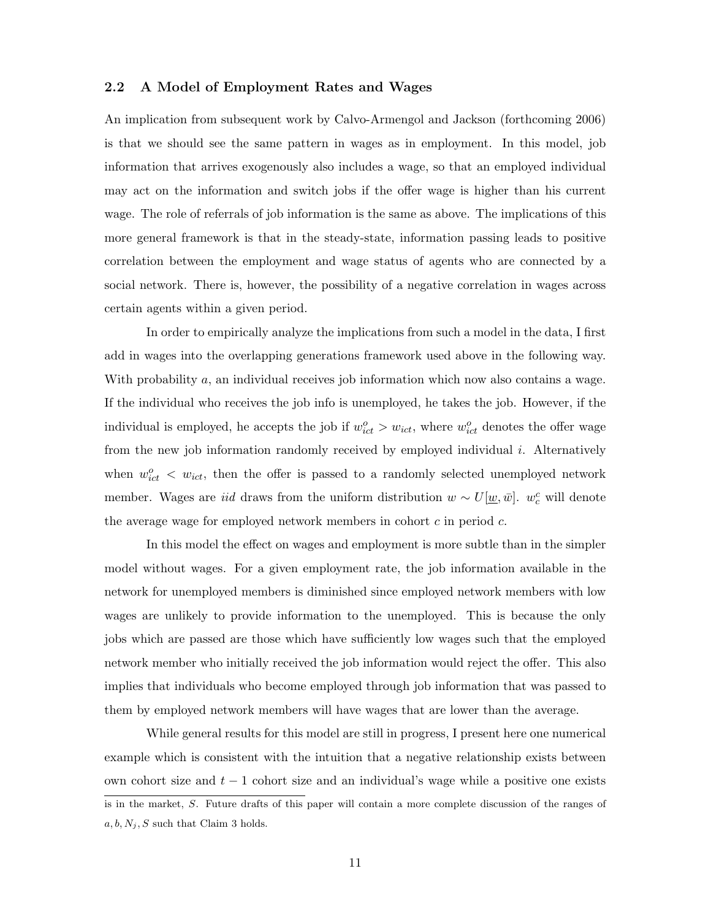#### 2.2 A Model of Employment Rates and Wages

An implication from subsequent work by Calvo-Armengol and Jackson (forthcoming 2006) is that we should see the same pattern in wages as in employment. In this model, job information that arrives exogenously also includes a wage, so that an employed individual may act on the information and switch jobs if the offer wage is higher than his current wage. The role of referrals of job information is the same as above. The implications of this more general framework is that in the steady-state, information passing leads to positive correlation between the employment and wage status of agents who are connected by a social network. There is, however, the possibility of a negative correlation in wages across certain agents within a given period.

In order to empirically analyze the implications from such a model in the data, I first add in wages into the overlapping generations framework used above in the following way. With probability a, an individual receives job information which now also contains a wage. If the individual who receives the job info is unemployed, he takes the job. However, if the individual is employed, he accepts the job if  $w_{ict}^o > w_{ict}$ , where  $w_{ict}^o$  denotes the offer wage from the new job information randomly received by employed individual  $i$ . Alternatively when  $w_{ict}^o \leq w_{ict}$ , then the offer is passed to a randomly selected unemployed network member. Wages are *iid* draws from the uniform distribution  $w \sim U[\underline{w}, \bar{w}]$ .  $w_c^c$  will denote the average wage for employed network members in cohort  $c$  in period  $c$ .

In this model the effect on wages and employment is more subtle than in the simpler model without wages. For a given employment rate, the job information available in the network for unemployed members is diminished since employed network members with low wages are unlikely to provide information to the unemployed. This is because the only jobs which are passed are those which have sufficiently low wages such that the employed network member who initially received the job information would reject the offer. This also implies that individuals who become employed through job information that was passed to them by employed network members will have wages that are lower than the average.

While general results for this model are still in progress, I present here one numerical example which is consistent with the intuition that a negative relationship exists between own cohort size and  $t - 1$  cohort size and an individual's wage while a positive one exists is in the market, S. Future drafts of this paper will contain a more complete discussion of the ranges of  $a, b, N_j, S$  such that Claim 3 holds.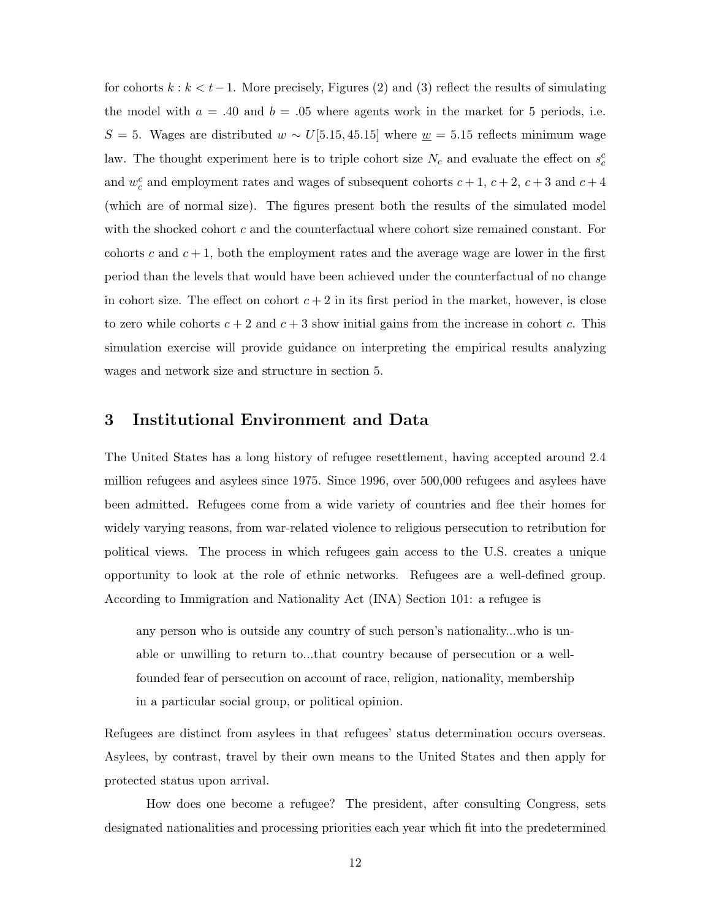for cohorts  $k : k < t-1$ . More precisely, Figures (2) and (3) reflect the results of simulating the model with  $a = .40$  and  $b = .05$  where agents work in the market for 5 periods, i.e.  $S = 5$ . Wages are distributed  $w \sim U[5.15, 45.15]$  where  $\underline{w} = 5.15$  reflects minimum wage law. The thought experiment here is to triple cohort size  $N_c$  and evaluate the effect on  $s_c^c$ and  $w_c^c$  and employment rates and wages of subsequent cohorts  $c + 1$ ,  $c + 2$ ,  $c + 3$  and  $c + 4$ (which are of normal size). The figures present both the results of the simulated model with the shocked cohort  $c$  and the counterfactual where cohort size remained constant. For cohorts c and  $c + 1$ , both the employment rates and the average wage are lower in the first period than the levels that would have been achieved under the counterfactual of no change in cohort size. The effect on cohort  $c + 2$  in its first period in the market, however, is close to zero while cohorts  $c + 2$  and  $c + 3$  show initial gains from the increase in cohort c. This simulation exercise will provide guidance on interpreting the empirical results analyzing wages and network size and structure in section 5.

# 3 Institutional Environment and Data

The United States has a long history of refugee resettlement, having accepted around 2.4 million refugees and asylees since 1975. Since 1996, over 500,000 refugees and asylees have been admitted. Refugees come from a wide variety of countries and flee their homes for widely varying reasons, from war-related violence to religious persecution to retribution for political views. The process in which refugees gain access to the U.S. creates a unique opportunity to look at the role of ethnic networks. Refugees are a well-defined group. According to Immigration and Nationality Act (INA) Section 101: a refugee is

any person who is outside any country of such person's nationality...who is unable or unwilling to return to...that country because of persecution or a wellfounded fear of persecution on account of race, religion, nationality, membership in a particular social group, or political opinion.

Refugees are distinct from asylees in that refugees' status determination occurs overseas. Asylees, by contrast, travel by their own means to the United States and then apply for protected status upon arrival.

How does one become a refugee? The president, after consulting Congress, sets designated nationalities and processing priorities each year which fit into the predetermined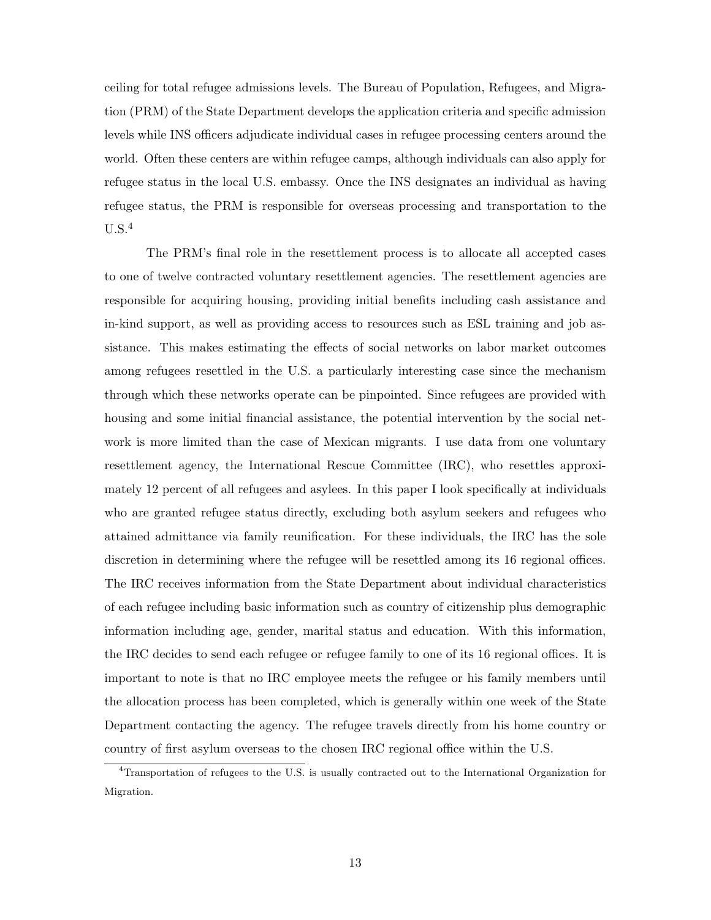ceiling for total refugee admissions levels. The Bureau of Population, Refugees, and Migration (PRM) of the State Department develops the application criteria and specific admission levels while INS officers adjudicate individual cases in refugee processing centers around the world. Often these centers are within refugee camps, although individuals can also apply for refugee status in the local U.S. embassy. Once the INS designates an individual as having refugee status, the PRM is responsible for overseas processing and transportation to the  $U.S.<sup>4</sup>$ 

The PRM's final role in the resettlement process is to allocate all accepted cases to one of twelve contracted voluntary resettlement agencies. The resettlement agencies are responsible for acquiring housing, providing initial benefits including cash assistance and in-kind support, as well as providing access to resources such as ESL training and job assistance. This makes estimating the effects of social networks on labor market outcomes among refugees resettled in the U.S. a particularly interesting case since the mechanism through which these networks operate can be pinpointed. Since refugees are provided with housing and some initial financial assistance, the potential intervention by the social network is more limited than the case of Mexican migrants. I use data from one voluntary resettlement agency, the International Rescue Committee (IRC), who resettles approximately 12 percent of all refugees and asylees. In this paper I look specifically at individuals who are granted refugee status directly, excluding both asylum seekers and refugees who attained admittance via family reunification. For these individuals, the IRC has the sole discretion in determining where the refugee will be resettled among its 16 regional offices. The IRC receives information from the State Department about individual characteristics of each refugee including basic information such as country of citizenship plus demographic information including age, gender, marital status and education. With this information, the IRC decides to send each refugee or refugee family to one of its 16 regional offices. It is important to note is that no IRC employee meets the refugee or his family members until the allocation process has been completed, which is generally within one week of the State Department contacting the agency. The refugee travels directly from his home country or country of first asylum overseas to the chosen IRC regional office within the U.S.

<sup>4</sup>Transportation of refugees to the U.S. is usually contracted out to the International Organization for Migration.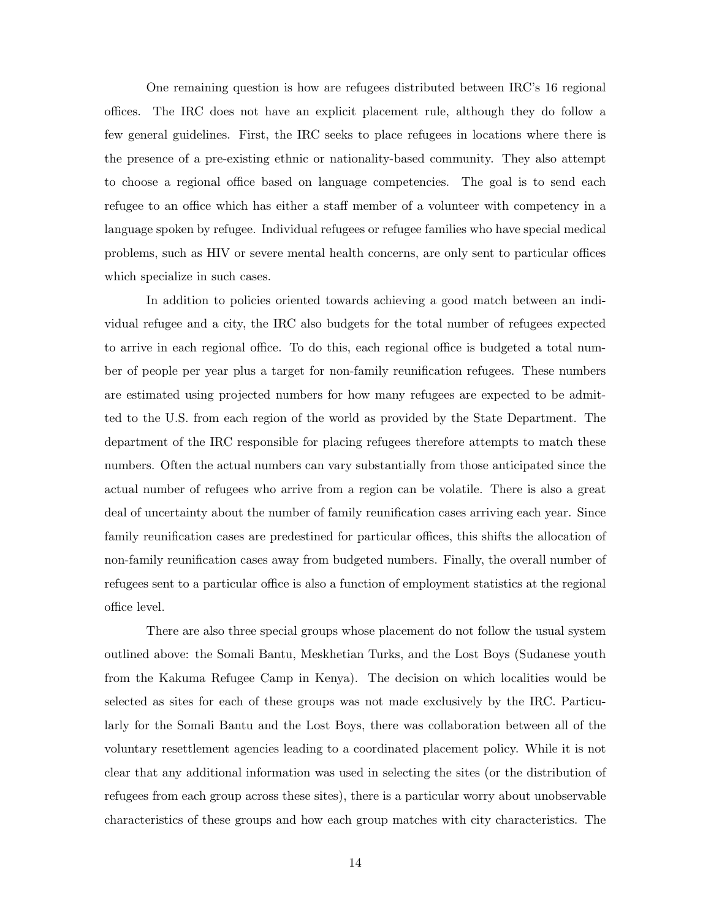One remaining question is how are refugees distributed between IRC's 16 regional offices. The IRC does not have an explicit placement rule, although they do follow a few general guidelines. First, the IRC seeks to place refugees in locations where there is the presence of a pre-existing ethnic or nationality-based community. They also attempt to choose a regional office based on language competencies. The goal is to send each refugee to an office which has either a staff member of a volunteer with competency in a language spoken by refugee. Individual refugees or refugee families who have special medical problems, such as HIV or severe mental health concerns, are only sent to particular offices which specialize in such cases.

In addition to policies oriented towards achieving a good match between an individual refugee and a city, the IRC also budgets for the total number of refugees expected to arrive in each regional office. To do this, each regional office is budgeted a total number of people per year plus a target for non-family reunification refugees. These numbers are estimated using projected numbers for how many refugees are expected to be admitted to the U.S. from each region of the world as provided by the State Department. The department of the IRC responsible for placing refugees therefore attempts to match these numbers. Often the actual numbers can vary substantially from those anticipated since the actual number of refugees who arrive from a region can be volatile. There is also a great deal of uncertainty about the number of family reunification cases arriving each year. Since family reunification cases are predestined for particular offices, this shifts the allocation of non-family reunification cases away from budgeted numbers. Finally, the overall number of refugees sent to a particular office is also a function of employment statistics at the regional office level.

There are also three special groups whose placement do not follow the usual system outlined above: the Somali Bantu, Meskhetian Turks, and the Lost Boys (Sudanese youth from the Kakuma Refugee Camp in Kenya). The decision on which localities would be selected as sites for each of these groups was not made exclusively by the IRC. Particularly for the Somali Bantu and the Lost Boys, there was collaboration between all of the voluntary resettlement agencies leading to a coordinated placement policy. While it is not clear that any additional information was used in selecting the sites (or the distribution of refugees from each group across these sites), there is a particular worry about unobservable characteristics of these groups and how each group matches with city characteristics. The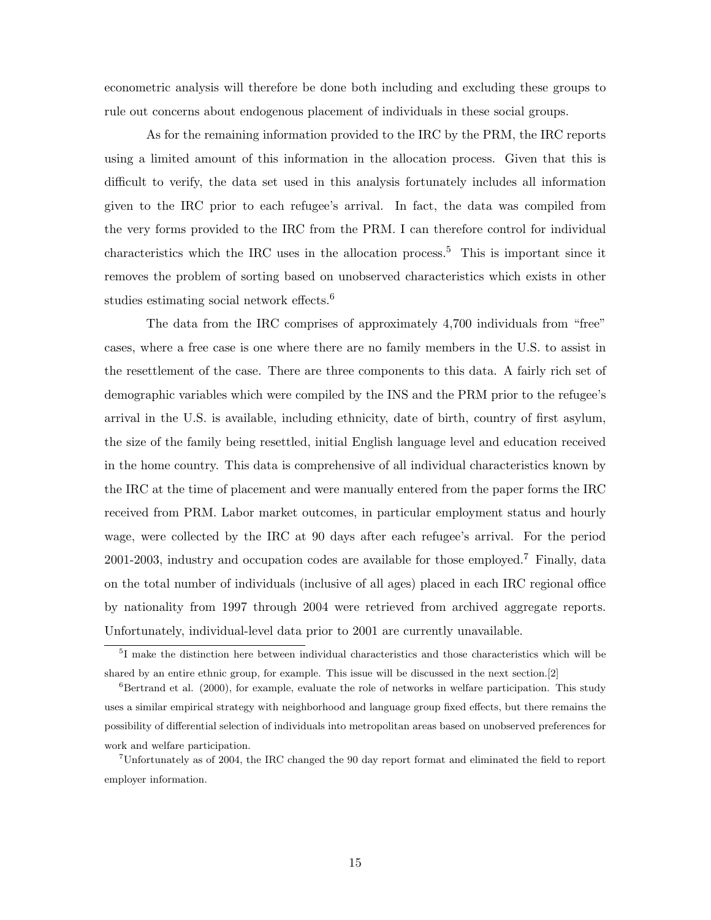econometric analysis will therefore be done both including and excluding these groups to rule out concerns about endogenous placement of individuals in these social groups.

As for the remaining information provided to the IRC by the PRM, the IRC reports using a limited amount of this information in the allocation process. Given that this is difficult to verify, the data set used in this analysis fortunately includes all information given to the IRC prior to each refugee's arrival. In fact, the data was compiled from the very forms provided to the IRC from the PRM. I can therefore control for individual characteristics which the IRC uses in the allocation process.<sup>5</sup> This is important since it removes the problem of sorting based on unobserved characteristics which exists in other studies estimating social network effects.<sup>6</sup>

The data from the IRC comprises of approximately 4,700 individuals from "free" cases, where a free case is one where there are no family members in the U.S. to assist in the resettlement of the case. There are three components to this data. A fairly rich set of demographic variables which were compiled by the INS and the PRM prior to the refugee's arrival in the U.S. is available, including ethnicity, date of birth, country of first asylum, the size of the family being resettled, initial English language level and education received in the home country. This data is comprehensive of all individual characteristics known by the IRC at the time of placement and were manually entered from the paper forms the IRC received from PRM. Labor market outcomes, in particular employment status and hourly wage, were collected by the IRC at 90 days after each refugee's arrival. For the period 2001-2003, industry and occupation codes are available for those employed.<sup>7</sup> Finally, data on the total number of individuals (inclusive of all ages) placed in each IRC regional office by nationality from 1997 through 2004 were retrieved from archived aggregate reports. Unfortunately, individual-level data prior to 2001 are currently unavailable.

<sup>&</sup>lt;sup>5</sup>I make the distinction here between individual characteristics and those characteristics which will be shared by an entire ethnic group, for example. This issue will be discussed in the next section.[2]

 ${}^{6}$ Bertrand et al. (2000), for example, evaluate the role of networks in welfare participation. This study uses a similar empirical strategy with neighborhood and language group fixed effects, but there remains the possibility of differential selection of individuals into metropolitan areas based on unobserved preferences for work and welfare participation.

<sup>7</sup>Unfortunately as of 2004, the IRC changed the 90 day report format and eliminated the field to report employer information.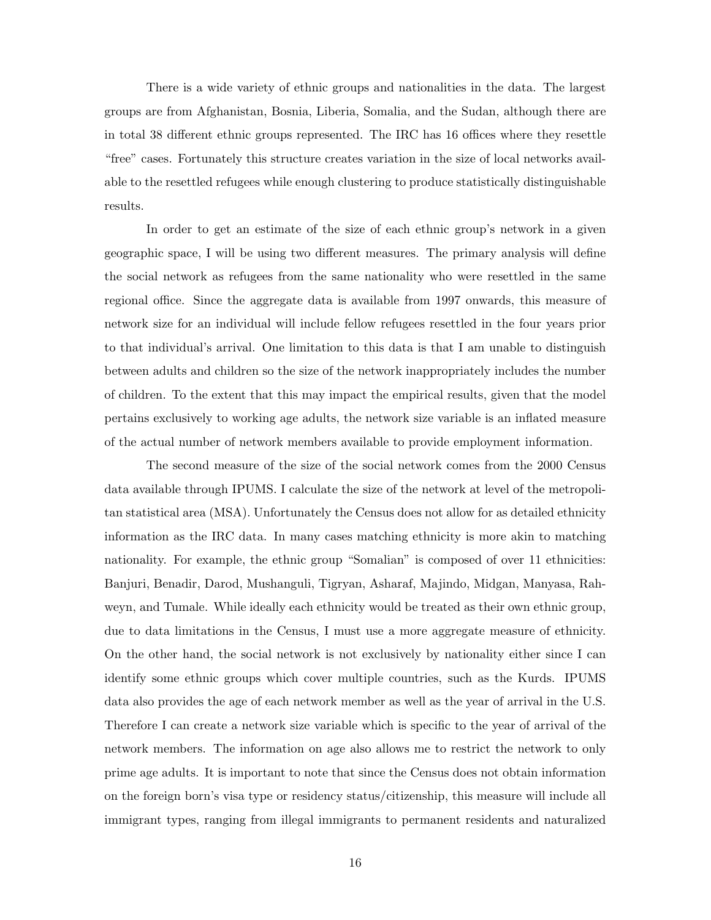There is a wide variety of ethnic groups and nationalities in the data. The largest groups are from Afghanistan, Bosnia, Liberia, Somalia, and the Sudan, although there are in total 38 different ethnic groups represented. The IRC has 16 offices where they resettle "free" cases. Fortunately this structure creates variation in the size of local networks available to the resettled refugees while enough clustering to produce statistically distinguishable results.

In order to get an estimate of the size of each ethnic group's network in a given geographic space, I will be using two different measures. The primary analysis will define the social network as refugees from the same nationality who were resettled in the same regional office. Since the aggregate data is available from 1997 onwards, this measure of network size for an individual will include fellow refugees resettled in the four years prior to that individual's arrival. One limitation to this data is that I am unable to distinguish between adults and children so the size of the network inappropriately includes the number of children. To the extent that this may impact the empirical results, given that the model pertains exclusively to working age adults, the network size variable is an inflated measure of the actual number of network members available to provide employment information.

The second measure of the size of the social network comes from the 2000 Census data available through IPUMS. I calculate the size of the network at level of the metropolitan statistical area (MSA). Unfortunately the Census does not allow for as detailed ethnicity information as the IRC data. In many cases matching ethnicity is more akin to matching nationality. For example, the ethnic group "Somalian" is composed of over 11 ethnicities: Banjuri, Benadir, Darod, Mushanguli, Tigryan, Asharaf, Majindo, Midgan, Manyasa, Rahweyn, and Tumale. While ideally each ethnicity would be treated as their own ethnic group, due to data limitations in the Census, I must use a more aggregate measure of ethnicity. On the other hand, the social network is not exclusively by nationality either since I can identify some ethnic groups which cover multiple countries, such as the Kurds. IPUMS data also provides the age of each network member as well as the year of arrival in the U.S. Therefore I can create a network size variable which is specific to the year of arrival of the network members. The information on age also allows me to restrict the network to only prime age adults. It is important to note that since the Census does not obtain information on the foreign born's visa type or residency status/citizenship, this measure will include all immigrant types, ranging from illegal immigrants to permanent residents and naturalized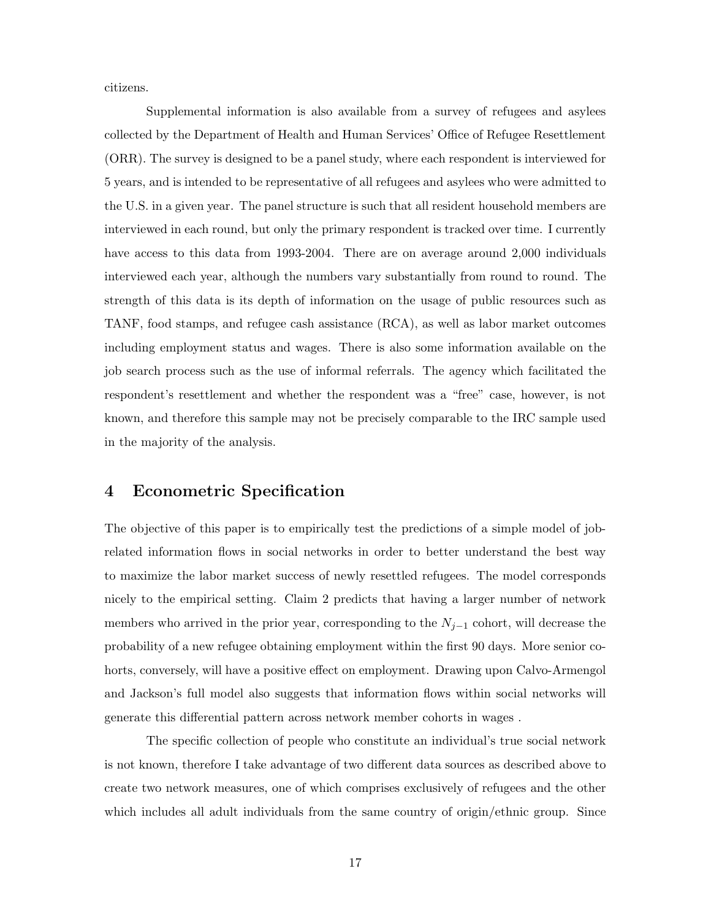citizens.

Supplemental information is also available from a survey of refugees and asylees collected by the Department of Health and Human Services' Office of Refugee Resettlement (ORR). The survey is designed to be a panel study, where each respondent is interviewed for 5 years, and is intended to be representative of all refugees and asylees who were admitted to the U.S. in a given year. The panel structure is such that all resident household members are interviewed in each round, but only the primary respondent is tracked over time. I currently have access to this data from 1993-2004. There are on average around 2,000 individuals interviewed each year, although the numbers vary substantially from round to round. The strength of this data is its depth of information on the usage of public resources such as TANF, food stamps, and refugee cash assistance (RCA), as well as labor market outcomes including employment status and wages. There is also some information available on the job search process such as the use of informal referrals. The agency which facilitated the respondent's resettlement and whether the respondent was a "free" case, however, is not known, and therefore this sample may not be precisely comparable to the IRC sample used in the majority of the analysis.

# 4 Econometric Specification

The objective of this paper is to empirically test the predictions of a simple model of jobrelated information flows in social networks in order to better understand the best way to maximize the labor market success of newly resettled refugees. The model corresponds nicely to the empirical setting. Claim 2 predicts that having a larger number of network members who arrived in the prior year, corresponding to the  $N_{j-1}$  cohort, will decrease the probability of a new refugee obtaining employment within the first 90 days. More senior cohorts, conversely, will have a positive effect on employment. Drawing upon Calvo-Armengol and Jackson's full model also suggests that information flows within social networks will generate this differential pattern across network member cohorts in wages .

The specific collection of people who constitute an individual's true social network is not known, therefore I take advantage of two different data sources as described above to create two network measures, one of which comprises exclusively of refugees and the other which includes all adult individuals from the same country of origin/ethnic group. Since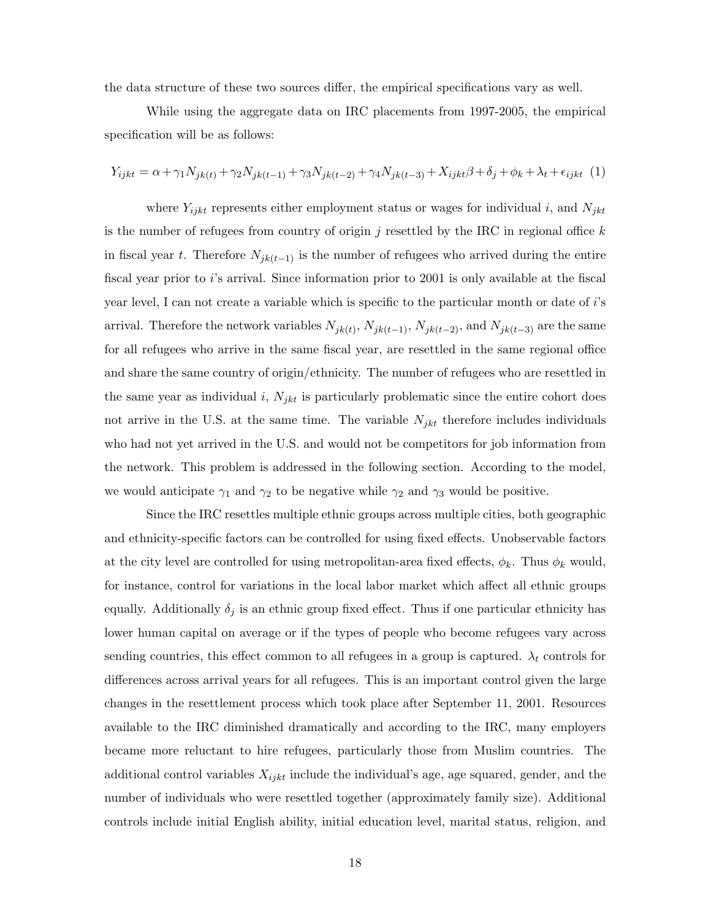the data structure of these two sources differ, the empirical specifications vary as well.

While using the aggregate data on IRC placements from 1997-2005, the empirical specification will be as follows:

$$
Y_{ijkt} = \alpha + \gamma_1 N_{jk(t)} + \gamma_2 N_{jk(t-1)} + \gamma_3 N_{jk(t-2)} + \gamma_4 N_{jk(t-3)} + X_{ijkt}\beta + \delta_j + \phi_k + \lambda_t + \epsilon_{ijkt} (1)
$$

where  $Y_{ijkt}$  represents either employment status or wages for individual i, and  $N_{jkt}$ is the number of refugees from country of origin j resettled by the IRC in regional office  $k$ in fiscal year t. Therefore  $N_{ik(t-1)}$  is the number of refugees who arrived during the entire fiscal year prior to i's arrival. Since information prior to 2001 is only available at the fiscal year level, I can not create a variable which is specific to the particular month or date of i's arrival. Therefore the network variables  $N_{jk(t)}, N_{jk(t-1)}, N_{jk(t-2)},$  and  $N_{jk(t-3)}$  are the same for all refugees who arrive in the same fiscal year, are resettled in the same regional office and share the same country of origin/ethnicity. The number of refugees who are resettled in the same year as individual i,  $N_{jkt}$  is particularly problematic since the entire cohort does not arrive in the U.S. at the same time. The variable  $N_{jkt}$  therefore includes individuals who had not yet arrived in the U.S. and would not be competitors for job information from the network. This problem is addressed in the following section. According to the model, we would anticipate  $\gamma_1$  and  $\gamma_2$  to be negative while  $\gamma_2$  and  $\gamma_3$  would be positive.

Since the IRC resettles multiple ethnic groups across multiple cities, both geographic and ethnicity-specific factors can be controlled for using fixed effects. Unobservable factors at the city level are controlled for using metropolitan-area fixed effects,  $\phi_k$ . Thus  $\phi_k$  would, for instance, control for variations in the local labor market which affect all ethnic groups equally. Additionally  $\delta_j$  is an ethnic group fixed effect. Thus if one particular ethnicity has lower human capital on average or if the types of people who become refugees vary across sending countries, this effect common to all refugees in a group is captured.  $\lambda_t$  controls for differences across arrival years for all refugees. This is an important control given the large changes in the resettlement process which took place after September 11, 2001. Resources available to the IRC diminished dramatically and according to the IRC, many employers became more reluctant to hire refugees, particularly those from Muslim countries. The additional control variables  $X_{ijk}$  include the individual's age, age squared, gender, and the number of individuals who were resettled together (approximately family size). Additional controls include initial English ability, initial education level, marital status, religion, and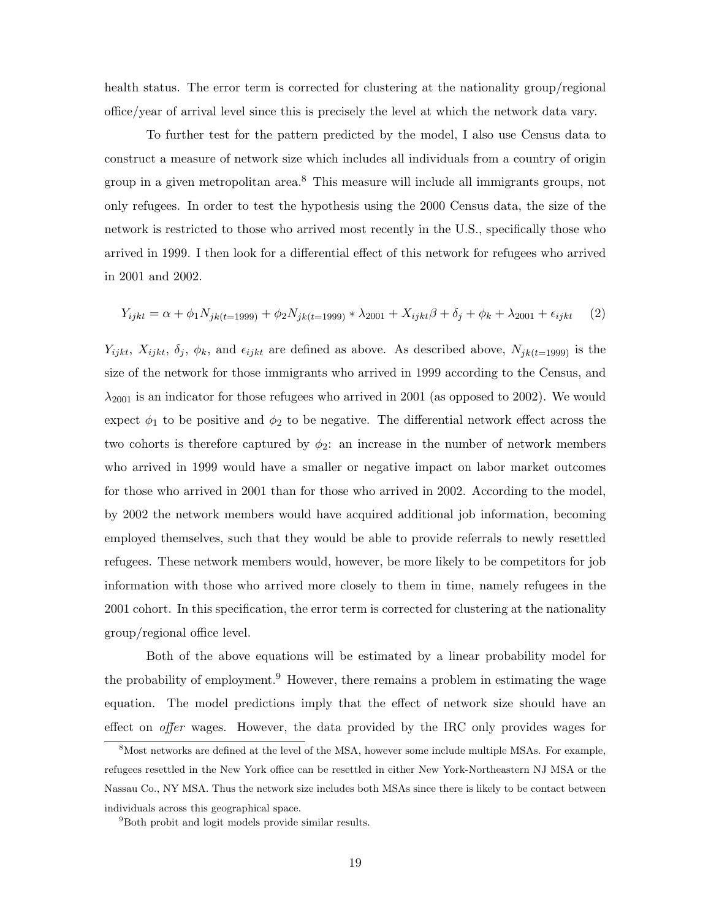health status. The error term is corrected for clustering at the nationality group/regional office/year of arrival level since this is precisely the level at which the network data vary.

To further test for the pattern predicted by the model, I also use Census data to construct a measure of network size which includes all individuals from a country of origin group in a given metropolitan area.<sup>8</sup> This measure will include all immigrants groups, not only refugees. In order to test the hypothesis using the 2000 Census data, the size of the network is restricted to those who arrived most recently in the U.S., specifically those who arrived in 1999. I then look for a differential effect of this network for refugees who arrived in 2001 and 2002.

$$
Y_{ijkt} = \alpha + \phi_1 N_{jk(t=1999)} + \phi_2 N_{jk(t=1999)} * \lambda_{2001} + X_{ijkt}\beta + \delta_j + \phi_k + \lambda_{2001} + \epsilon_{ijkt} \tag{2}
$$

 $Y_{ijkt}$ ,  $X_{ijkt}$ ,  $\delta_j$ ,  $\phi_k$ , and  $\epsilon_{ijkt}$  are defined as above. As described above,  $N_{jk(t=1999)}$  is the size of the network for those immigrants who arrived in 1999 according to the Census, and  $\lambda_{2001}$  is an indicator for those refugees who arrived in 2001 (as opposed to 2002). We would expect  $\phi_1$  to be positive and  $\phi_2$  to be negative. The differential network effect across the two cohorts is therefore captured by  $\phi_2$ : an increase in the number of network members who arrived in 1999 would have a smaller or negative impact on labor market outcomes for those who arrived in 2001 than for those who arrived in 2002. According to the model, by 2002 the network members would have acquired additional job information, becoming employed themselves, such that they would be able to provide referrals to newly resettled refugees. These network members would, however, be more likely to be competitors for job information with those who arrived more closely to them in time, namely refugees in the 2001 cohort. In this specification, the error term is corrected for clustering at the nationality group/regional office level.

Both of the above equations will be estimated by a linear probability model for the probability of employment.<sup>9</sup> However, there remains a problem in estimating the wage equation. The model predictions imply that the effect of network size should have an effect on offer wages. However, the data provided by the IRC only provides wages for

<sup>&</sup>lt;sup>8</sup>Most networks are defined at the level of the MSA, however some include multiple MSAs. For example, refugees resettled in the New York office can be resettled in either New York-Northeastern NJ MSA or the Nassau Co., NY MSA. Thus the network size includes both MSAs since there is likely to be contact between individuals across this geographical space.

<sup>9</sup>Both probit and logit models provide similar results.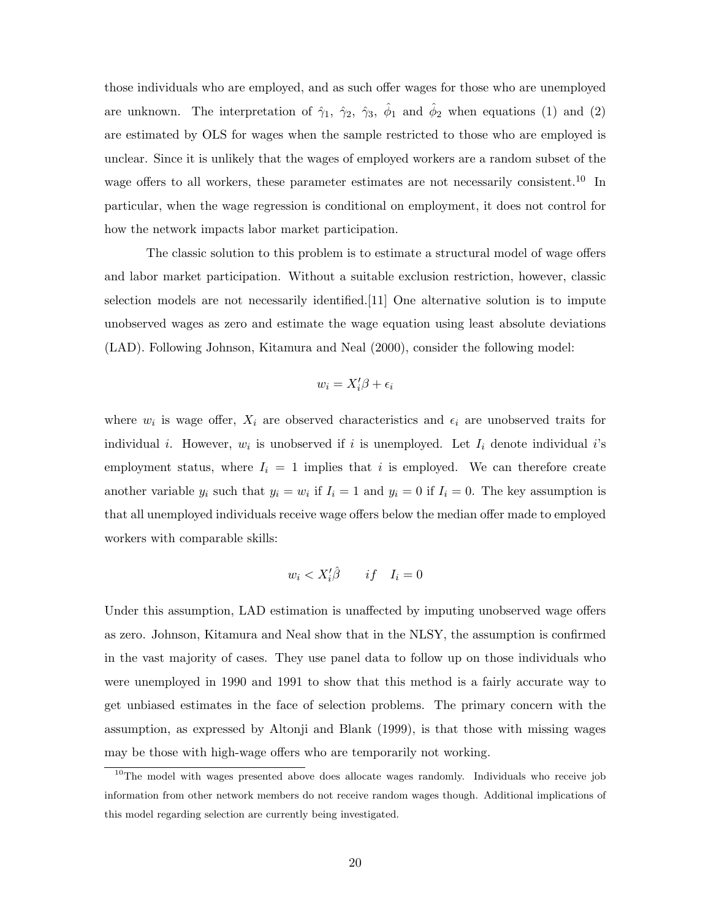those individuals who are employed, and as such offer wages for those who are unemployed are unknown. The interpretation of  $\hat{\gamma}_1$ ,  $\hat{\gamma}_2$ ,  $\hat{\gamma}_3$ ,  $\hat{\phi}_1$  and  $\hat{\phi}_2$  when equations (1) and (2) are estimated by OLS for wages when the sample restricted to those who are employed is unclear. Since it is unlikely that the wages of employed workers are a random subset of the wage offers to all workers, these parameter estimates are not necessarily consistent.<sup>10</sup> In particular, when the wage regression is conditional on employment, it does not control for how the network impacts labor market participation.

The classic solution to this problem is to estimate a structural model of wage offers and labor market participation. Without a suitable exclusion restriction, however, classic selection models are not necessarily identified.[11] One alternative solution is to impute unobserved wages as zero and estimate the wage equation using least absolute deviations (LAD). Following Johnson, Kitamura and Neal (2000), consider the following model:

$$
w_i = X_i'\beta + \epsilon_i
$$

where  $w_i$  is wage offer,  $X_i$  are observed characteristics and  $\epsilon_i$  are unobserved traits for individual *i*. However,  $w_i$  is unobserved if *i* is unemployed. Let  $I_i$  denote individual *i*'s employment status, where  $I_i = 1$  implies that i is employed. We can therefore create another variable  $y_i$  such that  $y_i = w_i$  if  $I_i = 1$  and  $y_i = 0$  if  $I_i = 0$ . The key assumption is that all unemployed individuals receive wage offers below the median offer made to employed workers with comparable skills:

$$
w_i < X_i'\hat{\beta} \qquad if \quad I_i = 0
$$

Under this assumption, LAD estimation is unaffected by imputing unobserved wage offers as zero. Johnson, Kitamura and Neal show that in the NLSY, the assumption is confirmed in the vast majority of cases. They use panel data to follow up on those individuals who were unemployed in 1990 and 1991 to show that this method is a fairly accurate way to get unbiased estimates in the face of selection problems. The primary concern with the assumption, as expressed by Altonji and Blank (1999), is that those with missing wages may be those with high-wage offers who are temporarily not working.

 $10$ The model with wages presented above does allocate wages randomly. Individuals who receive job information from other network members do not receive random wages though. Additional implications of this model regarding selection are currently being investigated.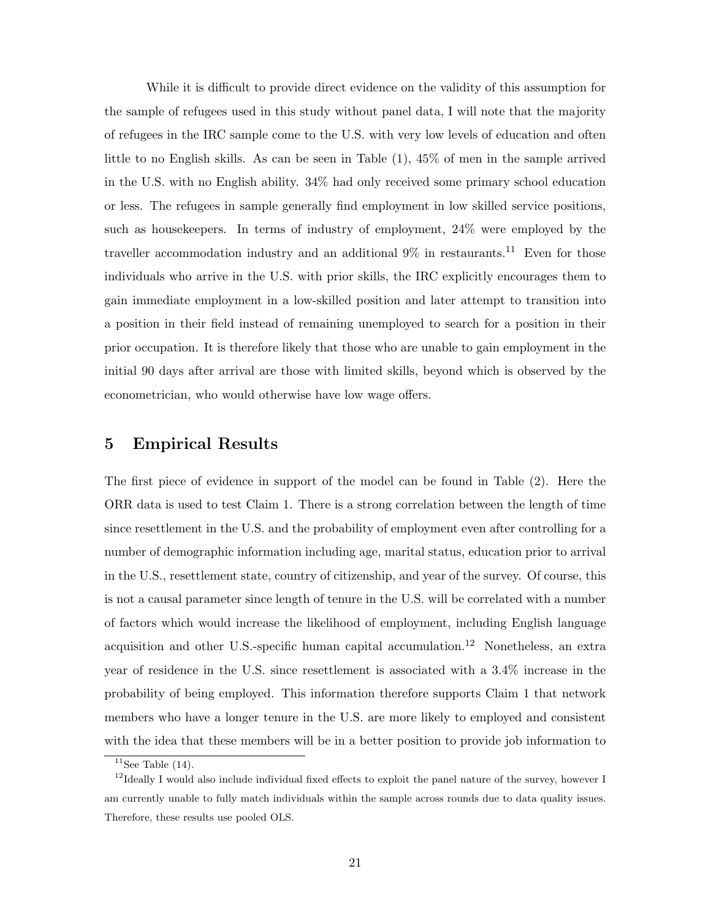While it is difficult to provide direct evidence on the validity of this assumption for the sample of refugees used in this study without panel data, I will note that the majority of refugees in the IRC sample come to the U.S. with very low levels of education and often little to no English skills. As can be seen in Table (1), 45% of men in the sample arrived in the U.S. with no English ability. 34% had only received some primary school education or less. The refugees in sample generally find employment in low skilled service positions, such as housekeepers. In terms of industry of employment, 24% were employed by the traveller accommodation industry and an additional  $9\%$  in restaurants.<sup>11</sup> Even for those individuals who arrive in the U.S. with prior skills, the IRC explicitly encourages them to gain immediate employment in a low-skilled position and later attempt to transition into a position in their field instead of remaining unemployed to search for a position in their prior occupation. It is therefore likely that those who are unable to gain employment in the initial 90 days after arrival are those with limited skills, beyond which is observed by the econometrician, who would otherwise have low wage offers.

# 5 Empirical Results

The first piece of evidence in support of the model can be found in Table (2). Here the ORR data is used to test Claim 1. There is a strong correlation between the length of time since resettlement in the U.S. and the probability of employment even after controlling for a number of demographic information including age, marital status, education prior to arrival in the U.S., resettlement state, country of citizenship, and year of the survey. Of course, this is not a causal parameter since length of tenure in the U.S. will be correlated with a number of factors which would increase the likelihood of employment, including English language acquisition and other U.S.-specific human capital accumulation.<sup>12</sup> Nonetheless, an extra year of residence in the U.S. since resettlement is associated with a 3.4% increase in the probability of being employed. This information therefore supports Claim 1 that network members who have a longer tenure in the U.S. are more likely to employed and consistent with the idea that these members will be in a better position to provide job information to

<sup>&</sup>lt;sup>11</sup>See Table  $(14)$ .

 $12$ Ideally I would also include individual fixed effects to exploit the panel nature of the survey, however I am currently unable to fully match individuals within the sample across rounds due to data quality issues. Therefore, these results use pooled OLS.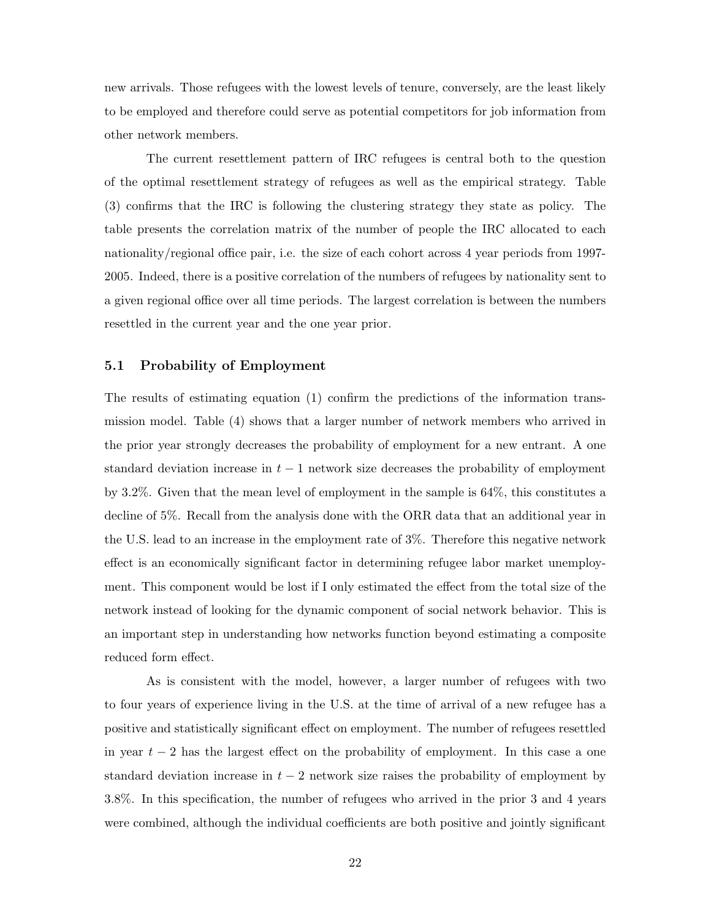new arrivals. Those refugees with the lowest levels of tenure, conversely, are the least likely to be employed and therefore could serve as potential competitors for job information from other network members.

The current resettlement pattern of IRC refugees is central both to the question of the optimal resettlement strategy of refugees as well as the empirical strategy. Table (3) confirms that the IRC is following the clustering strategy they state as policy. The table presents the correlation matrix of the number of people the IRC allocated to each nationality/regional office pair, i.e. the size of each cohort across 4 year periods from 1997- 2005. Indeed, there is a positive correlation of the numbers of refugees by nationality sent to a given regional office over all time periods. The largest correlation is between the numbers resettled in the current year and the one year prior.

#### 5.1 Probability of Employment

The results of estimating equation (1) confirm the predictions of the information transmission model. Table (4) shows that a larger number of network members who arrived in the prior year strongly decreases the probability of employment for a new entrant. A one standard deviation increase in  $t-1$  network size decreases the probability of employment by 3.2%. Given that the mean level of employment in the sample is 64%, this constitutes a decline of 5%. Recall from the analysis done with the ORR data that an additional year in the U.S. lead to an increase in the employment rate of 3%. Therefore this negative network effect is an economically significant factor in determining refugee labor market unemployment. This component would be lost if I only estimated the effect from the total size of the network instead of looking for the dynamic component of social network behavior. This is an important step in understanding how networks function beyond estimating a composite reduced form effect.

As is consistent with the model, however, a larger number of refugees with two to four years of experience living in the U.S. at the time of arrival of a new refugee has a positive and statistically significant effect on employment. The number of refugees resettled in year  $t-2$  has the largest effect on the probability of employment. In this case a one standard deviation increase in  $t-2$  network size raises the probability of employment by 3.8%. In this specification, the number of refugees who arrived in the prior 3 and 4 years were combined, although the individual coefficients are both positive and jointly significant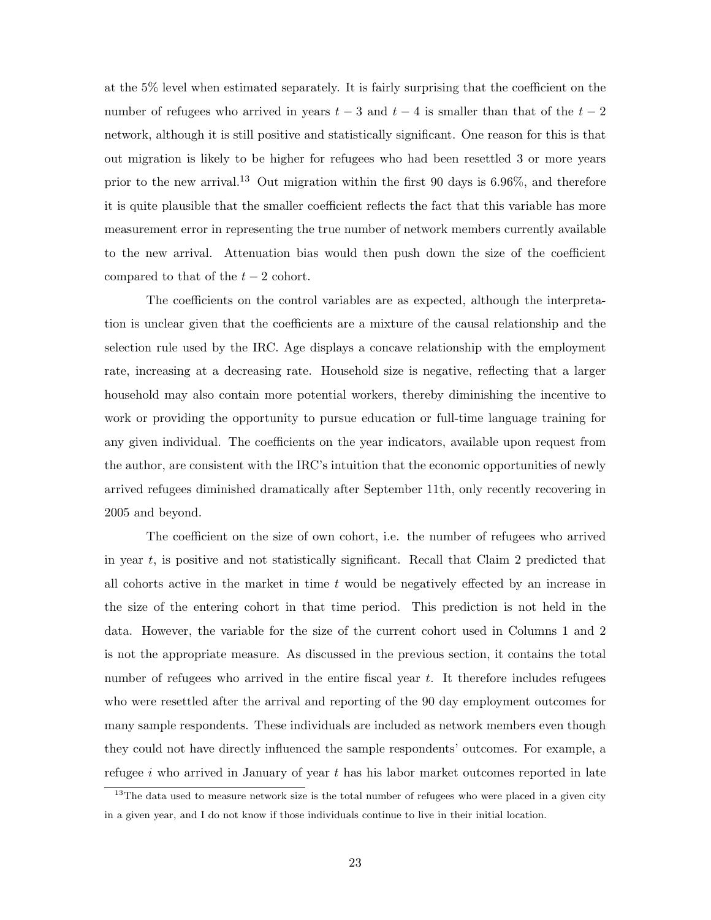at the 5% level when estimated separately. It is fairly surprising that the coefficient on the number of refugees who arrived in years  $t-3$  and  $t-4$  is smaller than that of the  $t-2$ network, although it is still positive and statistically significant. One reason for this is that out migration is likely to be higher for refugees who had been resettled 3 or more years prior to the new arrival.<sup>13</sup> Out migration within the first 90 days is  $6.96\%$ , and therefore it is quite plausible that the smaller coefficient reflects the fact that this variable has more measurement error in representing the true number of network members currently available to the new arrival. Attenuation bias would then push down the size of the coefficient compared to that of the  $t-2$  cohort.

The coefficients on the control variables are as expected, although the interpretation is unclear given that the coefficients are a mixture of the causal relationship and the selection rule used by the IRC. Age displays a concave relationship with the employment rate, increasing at a decreasing rate. Household size is negative, reflecting that a larger household may also contain more potential workers, thereby diminishing the incentive to work or providing the opportunity to pursue education or full-time language training for any given individual. The coefficients on the year indicators, available upon request from the author, are consistent with the IRC's intuition that the economic opportunities of newly arrived refugees diminished dramatically after September 11th, only recently recovering in 2005 and beyond.

The coefficient on the size of own cohort, i.e. the number of refugees who arrived in year t, is positive and not statistically significant. Recall that Claim 2 predicted that all cohorts active in the market in time  $t$  would be negatively effected by an increase in the size of the entering cohort in that time period. This prediction is not held in the data. However, the variable for the size of the current cohort used in Columns 1 and 2 is not the appropriate measure. As discussed in the previous section, it contains the total number of refugees who arrived in the entire fiscal year t. It therefore includes refugees who were resettled after the arrival and reporting of the 90 day employment outcomes for many sample respondents. These individuals are included as network members even though they could not have directly influenced the sample respondents' outcomes. For example, a refugee  $i$  who arrived in January of year  $t$  has his labor market outcomes reported in late

<sup>&</sup>lt;sup>13</sup>The data used to measure network size is the total number of refugees who were placed in a given city in a given year, and I do not know if those individuals continue to live in their initial location.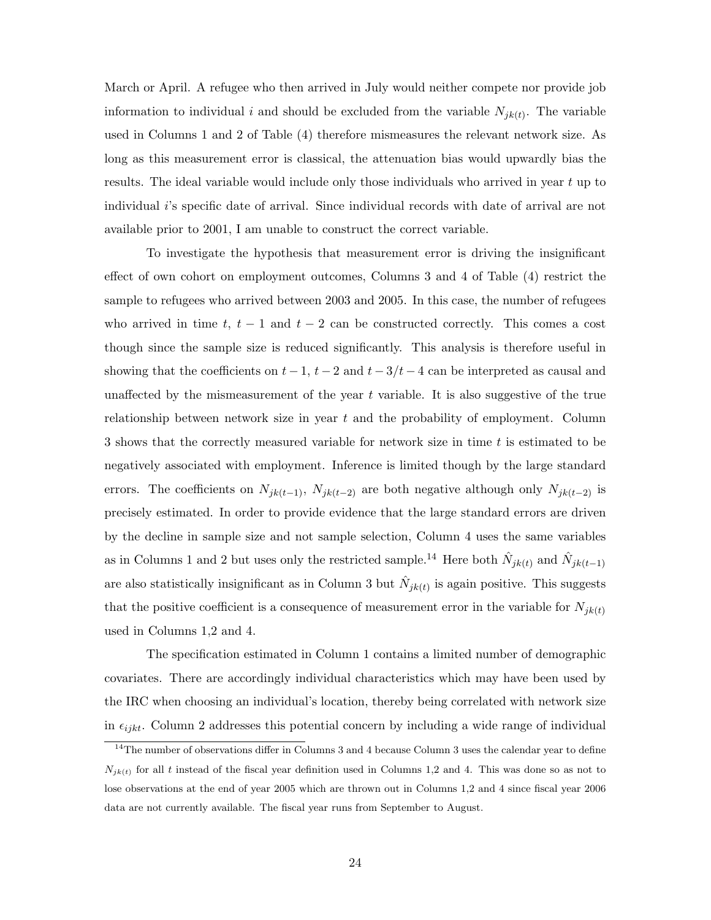March or April. A refugee who then arrived in July would neither compete nor provide job information to individual i and should be excluded from the variable  $N_{jk(t)}$ . The variable used in Columns 1 and 2 of Table (4) therefore mismeasures the relevant network size. As long as this measurement error is classical, the attenuation bias would upwardly bias the results. The ideal variable would include only those individuals who arrived in year t up to individual i's specific date of arrival. Since individual records with date of arrival are not available prior to 2001, I am unable to construct the correct variable.

To investigate the hypothesis that measurement error is driving the insignificant effect of own cohort on employment outcomes, Columns 3 and 4 of Table (4) restrict the sample to refugees who arrived between 2003 and 2005. In this case, the number of refugees who arrived in time t,  $t - 1$  and  $t - 2$  can be constructed correctly. This comes a cost though since the sample size is reduced significantly. This analysis is therefore useful in showing that the coefficients on  $t - 1$ ,  $t - 2$  and  $t - 3/t - 4$  can be interpreted as causal and unaffected by the mismeasurement of the year  $t$  variable. It is also suggestive of the true relationship between network size in year  $t$  and the probability of employment. Column 3 shows that the correctly measured variable for network size in time t is estimated to be negatively associated with employment. Inference is limited though by the large standard errors. The coefficients on  $N_{jk(t-1)}$ ,  $N_{jk(t-2)}$  are both negative although only  $N_{jk(t-2)}$  is precisely estimated. In order to provide evidence that the large standard errors are driven by the decline in sample size and not sample selection, Column 4 uses the same variables as in Columns 1 and 2 but uses only the restricted sample.<sup>14</sup> Here both  $\hat{N}_{jk(t)}$  and  $\hat{N}_{jk(t-1)}$ are also statistically insignificant as in Column 3 but  $\hat{N}_{jk(t)}$  is again positive. This suggests that the positive coefficient is a consequence of measurement error in the variable for  $N_{jk(t)}$ used in Columns 1,2 and 4.

The specification estimated in Column 1 contains a limited number of demographic covariates. There are accordingly individual characteristics which may have been used by the IRC when choosing an individual's location, thereby being correlated with network size in  $\epsilon_{i j k t}$ . Column 2 addresses this potential concern by including a wide range of individual

<sup>&</sup>lt;sup>14</sup>The number of observations differ in Columns 3 and 4 because Column 3 uses the calendar year to define  $N_{jk(t)}$  for all t instead of the fiscal year definition used in Columns 1,2 and 4. This was done so as not to lose observations at the end of year 2005 which are thrown out in Columns 1,2 and 4 since fiscal year 2006 data are not currently available. The fiscal year runs from September to August.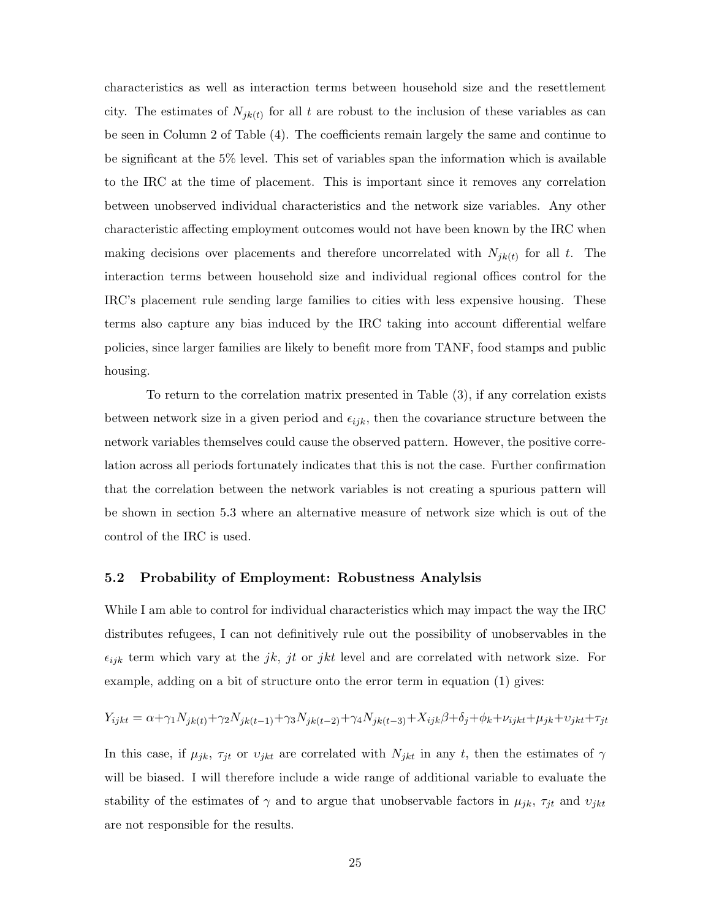characteristics as well as interaction terms between household size and the resettlement city. The estimates of  $N_{jk(t)}$  for all t are robust to the inclusion of these variables as can be seen in Column 2 of Table (4). The coefficients remain largely the same and continue to be significant at the 5% level. This set of variables span the information which is available to the IRC at the time of placement. This is important since it removes any correlation between unobserved individual characteristics and the network size variables. Any other characteristic affecting employment outcomes would not have been known by the IRC when making decisions over placements and therefore uncorrelated with  $N_{jk(t)}$  for all t. The interaction terms between household size and individual regional offices control for the IRC's placement rule sending large families to cities with less expensive housing. These terms also capture any bias induced by the IRC taking into account differential welfare policies, since larger families are likely to benefit more from TANF, food stamps and public housing.

To return to the correlation matrix presented in Table (3), if any correlation exists between network size in a given period and  $\epsilon_{ijk}$ , then the covariance structure between the network variables themselves could cause the observed pattern. However, the positive correlation across all periods fortunately indicates that this is not the case. Further confirmation that the correlation between the network variables is not creating a spurious pattern will be shown in section 5.3 where an alternative measure of network size which is out of the control of the IRC is used.

#### 5.2 Probability of Employment: Robustness Analylsis

While I am able to control for individual characteristics which may impact the way the IRC distributes refugees, I can not definitively rule out the possibility of unobservables in the  $\epsilon_{ijk}$  term which vary at the jk, jt or jkt level and are correlated with network size. For example, adding on a bit of structure onto the error term in equation (1) gives:

$$
Y_{ijkt} = \alpha + \gamma_1 N_{jk(t)} + \gamma_2 N_{jk(t-1)} + \gamma_3 N_{jk(t-2)} + \gamma_4 N_{jk(t-3)} + X_{ijk} \beta + \delta_j + \phi_k + \nu_{ijkt} + \mu_{jk} + \upsilon_{jkt} + \tau_{jt}
$$

In this case, if  $\mu_{jk}$ ,  $\tau_{jt}$  or  $v_{jkt}$  are correlated with  $N_{jkt}$  in any t, then the estimates of  $\gamma$ will be biased. I will therefore include a wide range of additional variable to evaluate the stability of the estimates of  $\gamma$  and to argue that unobservable factors in  $\mu_{jk}$ ,  $\tau_{jt}$  and  $v_{jkt}$ are not responsible for the results.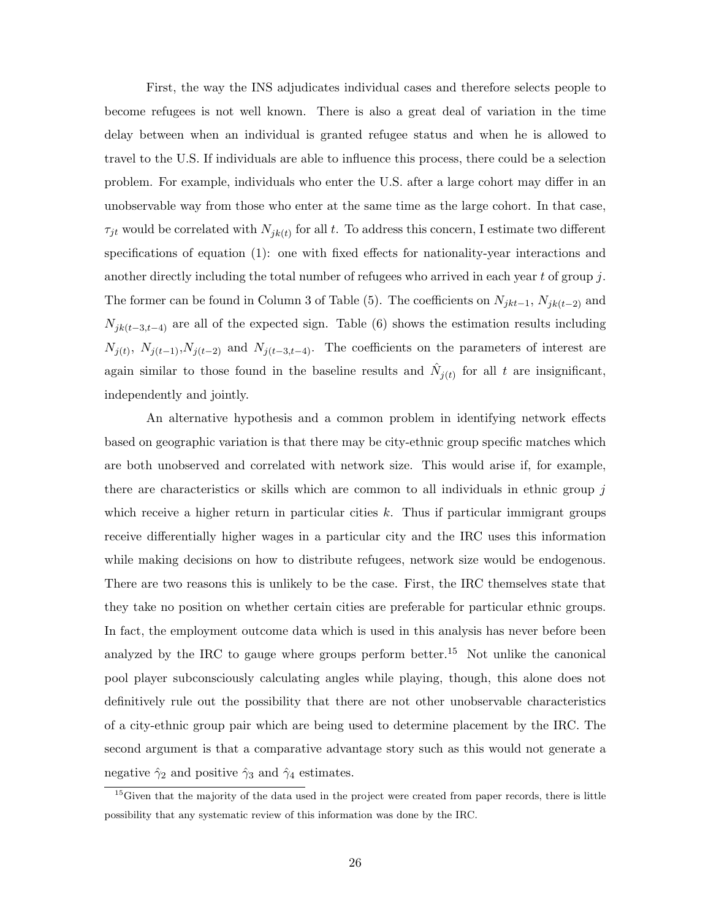First, the way the INS adjudicates individual cases and therefore selects people to become refugees is not well known. There is also a great deal of variation in the time delay between when an individual is granted refugee status and when he is allowed to travel to the U.S. If individuals are able to influence this process, there could be a selection problem. For example, individuals who enter the U.S. after a large cohort may differ in an unobservable way from those who enter at the same time as the large cohort. In that case,  $\tau_{jt}$  would be correlated with  $N_{jk(t)}$  for all t. To address this concern, I estimate two different specifications of equation (1): one with fixed effects for nationality-year interactions and another directly including the total number of refugees who arrived in each year t of group  $j$ . The former can be found in Column 3 of Table (5). The coefficients on  $N_{jkt-1}$ ,  $N_{jk(t-2)}$  and  $N_{jk(t-3,t-4)}$  are all of the expected sign. Table (6) shows the estimation results including  $N_{j(t)}, N_{j(t-1)}, N_{j(t-2)}$  and  $N_{j(t-3,t-4)}$ . The coefficients on the parameters of interest are again similar to those found in the baseline results and  $\hat{N}_{j(t)}$  for all t are insignificant, independently and jointly.

An alternative hypothesis and a common problem in identifying network effects based on geographic variation is that there may be city-ethnic group specific matches which are both unobserved and correlated with network size. This would arise if, for example, there are characteristics or skills which are common to all individuals in ethnic group  $j$ which receive a higher return in particular cities  $k$ . Thus if particular immigrant groups receive differentially higher wages in a particular city and the IRC uses this information while making decisions on how to distribute refugees, network size would be endogenous. There are two reasons this is unlikely to be the case. First, the IRC themselves state that they take no position on whether certain cities are preferable for particular ethnic groups. In fact, the employment outcome data which is used in this analysis has never before been analyzed by the IRC to gauge where groups perform better.<sup>15</sup> Not unlike the canonical pool player subconsciously calculating angles while playing, though, this alone does not definitively rule out the possibility that there are not other unobservable characteristics of a city-ethnic group pair which are being used to determine placement by the IRC. The second argument is that a comparative advantage story such as this would not generate a negative  $\hat{\gamma}_2$  and positive  $\hat{\gamma}_3$  and  $\hat{\gamma}_4$  estimates.

<sup>&</sup>lt;sup>15</sup>Given that the majority of the data used in the project were created from paper records, there is little possibility that any systematic review of this information was done by the IRC.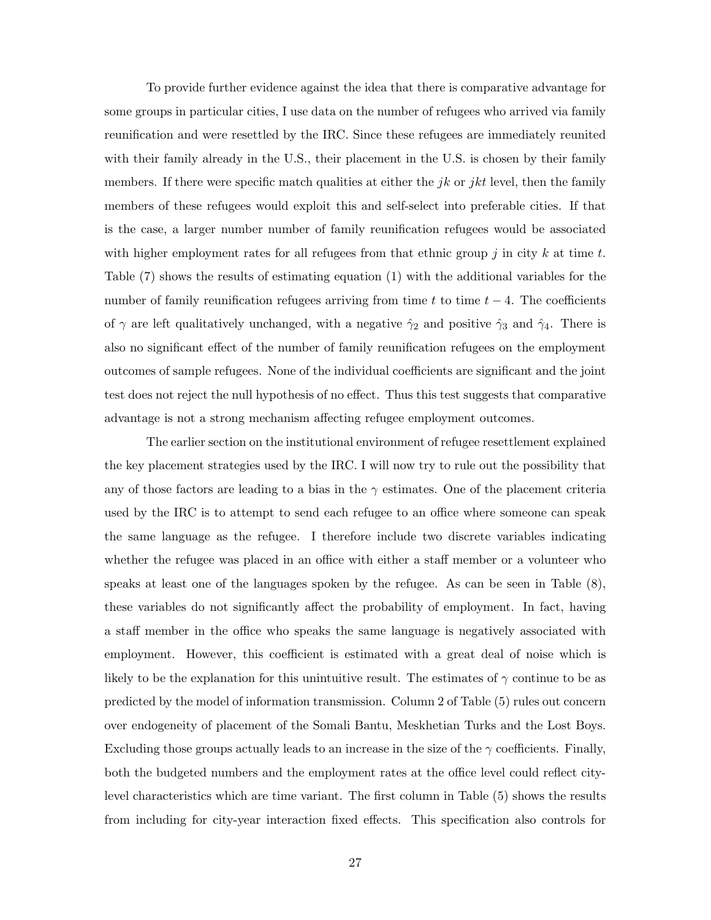To provide further evidence against the idea that there is comparative advantage for some groups in particular cities, I use data on the number of refugees who arrived via family reunification and were resettled by the IRC. Since these refugees are immediately reunited with their family already in the U.S., their placement in the U.S. is chosen by their family members. If there were specific match qualities at either the jk or jkt level, then the family members of these refugees would exploit this and self-select into preferable cities. If that is the case, a larger number number of family reunification refugees would be associated with higher employment rates for all refugees from that ethnic group  $j$  in city  $k$  at time  $t$ . Table (7) shows the results of estimating equation (1) with the additional variables for the number of family reunification refugees arriving from time t to time  $t - 4$ . The coefficients of  $\gamma$  are left qualitatively unchanged, with a negative  $\hat{\gamma}_2$  and positive  $\hat{\gamma}_3$  and  $\hat{\gamma}_4$ . There is also no significant effect of the number of family reunification refugees on the employment outcomes of sample refugees. None of the individual coefficients are significant and the joint test does not reject the null hypothesis of no effect. Thus this test suggests that comparative advantage is not a strong mechanism affecting refugee employment outcomes.

The earlier section on the institutional environment of refugee resettlement explained the key placement strategies used by the IRC. I will now try to rule out the possibility that any of those factors are leading to a bias in the  $\gamma$  estimates. One of the placement criteria used by the IRC is to attempt to send each refugee to an office where someone can speak the same language as the refugee. I therefore include two discrete variables indicating whether the refugee was placed in an office with either a staff member or a volunteer who speaks at least one of the languages spoken by the refugee. As can be seen in Table (8), these variables do not significantly affect the probability of employment. In fact, having a staff member in the office who speaks the same language is negatively associated with employment. However, this coefficient is estimated with a great deal of noise which is likely to be the explanation for this unintuitive result. The estimates of  $\gamma$  continue to be as predicted by the model of information transmission. Column 2 of Table (5) rules out concern over endogeneity of placement of the Somali Bantu, Meskhetian Turks and the Lost Boys. Excluding those groups actually leads to an increase in the size of the  $\gamma$  coefficients. Finally, both the budgeted numbers and the employment rates at the office level could reflect citylevel characteristics which are time variant. The first column in Table (5) shows the results from including for city-year interaction fixed effects. This specification also controls for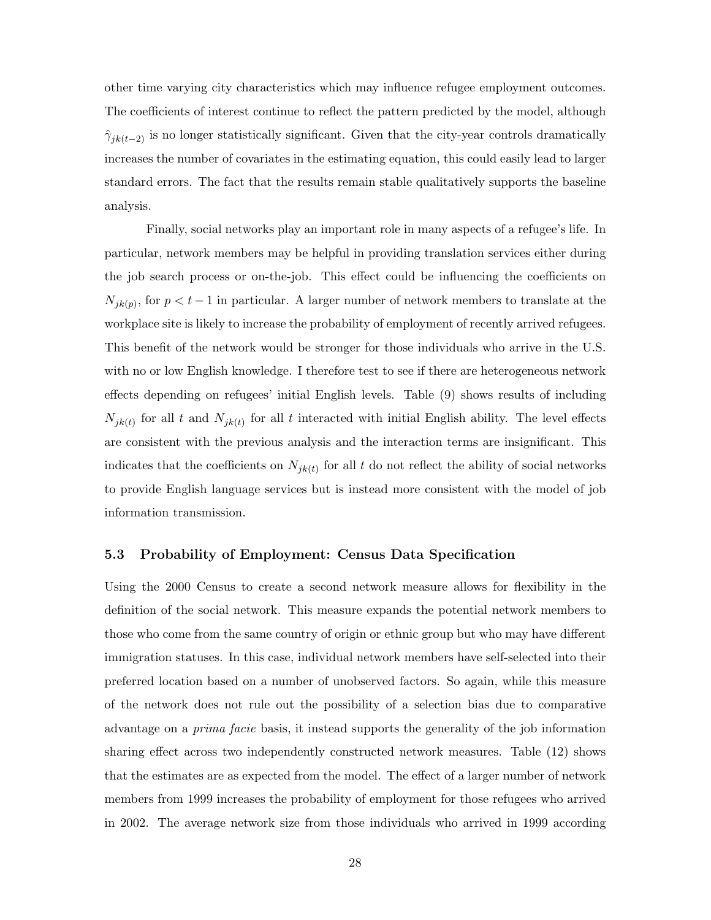other time varying city characteristics which may influence refugee employment outcomes. The coefficients of interest continue to reflect the pattern predicted by the model, although  $\hat{\gamma}_{jk(t-2)}$  is no longer statistically significant. Given that the city-year controls dramatically increases the number of covariates in the estimating equation, this could easily lead to larger standard errors. The fact that the results remain stable qualitatively supports the baseline analysis.

Finally, social networks play an important role in many aspects of a refugee's life. In particular, network members may be helpful in providing translation services either during the job search process or on-the-job. This effect could be influencing the coefficients on  $N_{jk(p)}$ , for  $p < t-1$  in particular. A larger number of network members to translate at the workplace site is likely to increase the probability of employment of recently arrived refugees. This benefit of the network would be stronger for those individuals who arrive in the U.S. with no or low English knowledge. I therefore test to see if there are heterogeneous network effects depending on refugees' initial English levels. Table (9) shows results of including  $N_{jk(t)}$  for all t and  $N_{jk(t)}$  for all t interacted with initial English ability. The level effects are consistent with the previous analysis and the interaction terms are insignificant. This indicates that the coefficients on  $N_{jk(t)}$  for all t do not reflect the ability of social networks to provide English language services but is instead more consistent with the model of job information transmission.

#### 5.3 Probability of Employment: Census Data Specification

Using the 2000 Census to create a second network measure allows for flexibility in the definition of the social network. This measure expands the potential network members to those who come from the same country of origin or ethnic group but who may have different immigration statuses. In this case, individual network members have self-selected into their preferred location based on a number of unobserved factors. So again, while this measure of the network does not rule out the possibility of a selection bias due to comparative advantage on a prima facie basis, it instead supports the generality of the job information sharing effect across two independently constructed network measures. Table (12) shows that the estimates are as expected from the model. The effect of a larger number of network members from 1999 increases the probability of employment for those refugees who arrived in 2002. The average network size from those individuals who arrived in 1999 according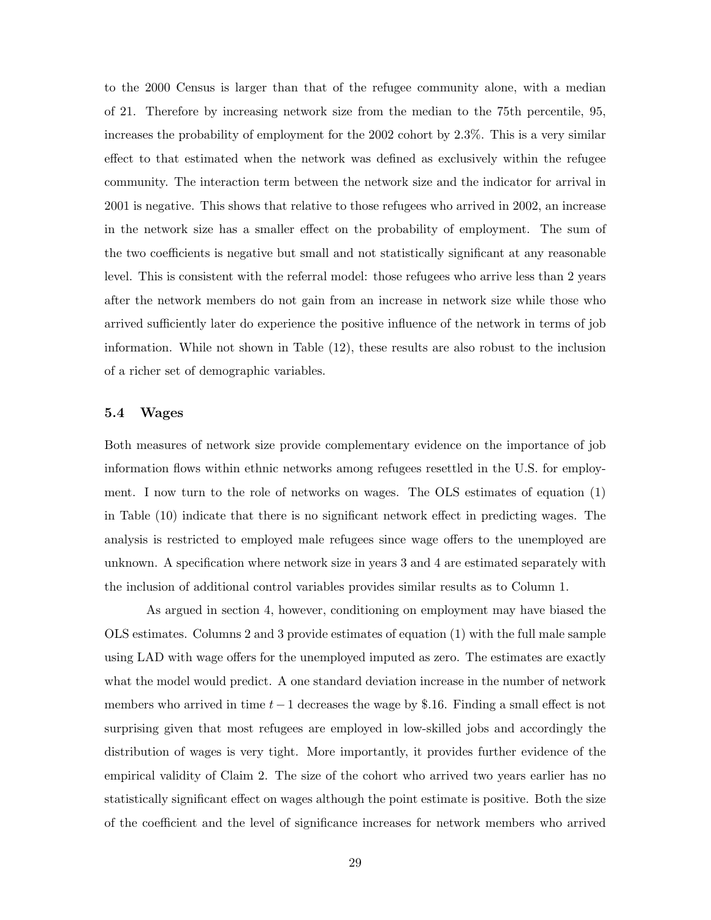to the 2000 Census is larger than that of the refugee community alone, with a median of 21. Therefore by increasing network size from the median to the 75th percentile, 95, increases the probability of employment for the 2002 cohort by 2.3%. This is a very similar effect to that estimated when the network was defined as exclusively within the refugee community. The interaction term between the network size and the indicator for arrival in 2001 is negative. This shows that relative to those refugees who arrived in 2002, an increase in the network size has a smaller effect on the probability of employment. The sum of the two coefficients is negative but small and not statistically significant at any reasonable level. This is consistent with the referral model: those refugees who arrive less than 2 years after the network members do not gain from an increase in network size while those who arrived sufficiently later do experience the positive influence of the network in terms of job information. While not shown in Table (12), these results are also robust to the inclusion of a richer set of demographic variables.

#### 5.4 Wages

Both measures of network size provide complementary evidence on the importance of job information flows within ethnic networks among refugees resettled in the U.S. for employment. I now turn to the role of networks on wages. The OLS estimates of equation (1) in Table (10) indicate that there is no significant network effect in predicting wages. The analysis is restricted to employed male refugees since wage offers to the unemployed are unknown. A specification where network size in years 3 and 4 are estimated separately with the inclusion of additional control variables provides similar results as to Column 1.

As argued in section 4, however, conditioning on employment may have biased the OLS estimates. Columns 2 and 3 provide estimates of equation (1) with the full male sample using LAD with wage offers for the unemployed imputed as zero. The estimates are exactly what the model would predict. A one standard deviation increase in the number of network members who arrived in time  $t-1$  decreases the wage by \$.16. Finding a small effect is not surprising given that most refugees are employed in low-skilled jobs and accordingly the distribution of wages is very tight. More importantly, it provides further evidence of the empirical validity of Claim 2. The size of the cohort who arrived two years earlier has no statistically significant effect on wages although the point estimate is positive. Both the size of the coefficient and the level of significance increases for network members who arrived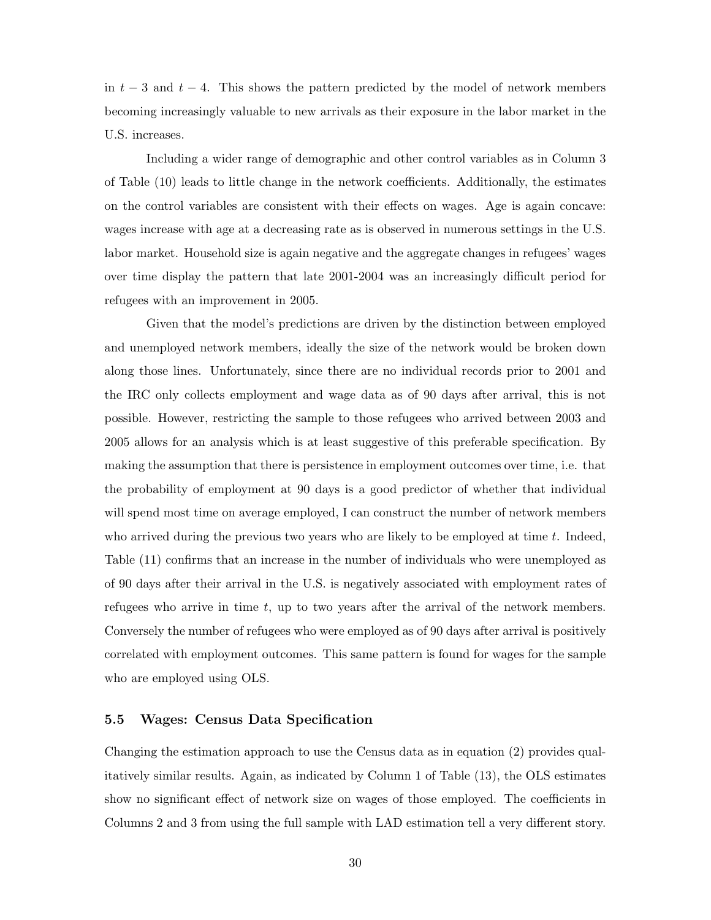in  $t-3$  and  $t-4$ . This shows the pattern predicted by the model of network members becoming increasingly valuable to new arrivals as their exposure in the labor market in the U.S. increases.

Including a wider range of demographic and other control variables as in Column 3 of Table (10) leads to little change in the network coefficients. Additionally, the estimates on the control variables are consistent with their effects on wages. Age is again concave: wages increase with age at a decreasing rate as is observed in numerous settings in the U.S. labor market. Household size is again negative and the aggregate changes in refugees' wages over time display the pattern that late 2001-2004 was an increasingly difficult period for refugees with an improvement in 2005.

Given that the model's predictions are driven by the distinction between employed and unemployed network members, ideally the size of the network would be broken down along those lines. Unfortunately, since there are no individual records prior to 2001 and the IRC only collects employment and wage data as of 90 days after arrival, this is not possible. However, restricting the sample to those refugees who arrived between 2003 and 2005 allows for an analysis which is at least suggestive of this preferable specification. By making the assumption that there is persistence in employment outcomes over time, i.e. that the probability of employment at 90 days is a good predictor of whether that individual will spend most time on average employed, I can construct the number of network members who arrived during the previous two years who are likely to be employed at time  $t$ . Indeed, Table (11) confirms that an increase in the number of individuals who were unemployed as of 90 days after their arrival in the U.S. is negatively associated with employment rates of refugees who arrive in time  $t$ , up to two years after the arrival of the network members. Conversely the number of refugees who were employed as of 90 days after arrival is positively correlated with employment outcomes. This same pattern is found for wages for the sample who are employed using OLS.

#### 5.5 Wages: Census Data Specification

Changing the estimation approach to use the Census data as in equation (2) provides qualitatively similar results. Again, as indicated by Column 1 of Table (13), the OLS estimates show no significant effect of network size on wages of those employed. The coefficients in Columns 2 and 3 from using the full sample with LAD estimation tell a very different story.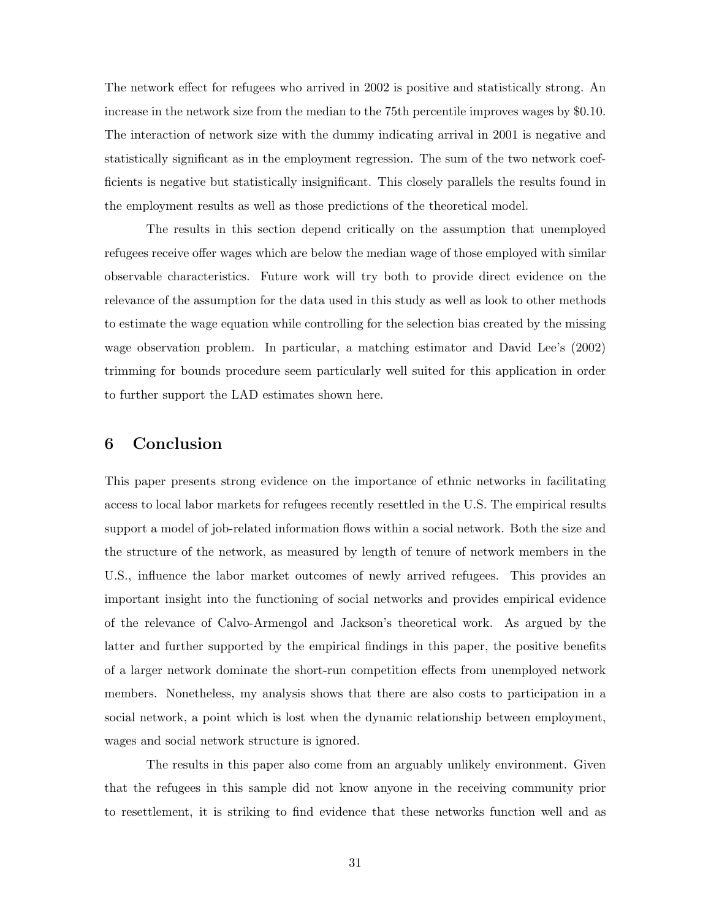The network effect for refugees who arrived in 2002 is positive and statistically strong. An increase in the network size from the median to the 75th percentile improves wages by \$0.10. The interaction of network size with the dummy indicating arrival in 2001 is negative and statistically significant as in the employment regression. The sum of the two network coefficients is negative but statistically insignificant. This closely parallels the results found in the employment results as well as those predictions of the theoretical model.

The results in this section depend critically on the assumption that unemployed refugees receive offer wages which are below the median wage of those employed with similar observable characteristics. Future work will try both to provide direct evidence on the relevance of the assumption for the data used in this study as well as look to other methods to estimate the wage equation while controlling for the selection bias created by the missing wage observation problem. In particular, a matching estimator and David Lee's (2002) trimming for bounds procedure seem particularly well suited for this application in order to further support the LAD estimates shown here.

# 6 Conclusion

This paper presents strong evidence on the importance of ethnic networks in facilitating access to local labor markets for refugees recently resettled in the U.S. The empirical results support a model of job-related information flows within a social network. Both the size and the structure of the network, as measured by length of tenure of network members in the U.S., influence the labor market outcomes of newly arrived refugees. This provides an important insight into the functioning of social networks and provides empirical evidence of the relevance of Calvo-Armengol and Jackson's theoretical work. As argued by the latter and further supported by the empirical findings in this paper, the positive benefits of a larger network dominate the short-run competition effects from unemployed network members. Nonetheless, my analysis shows that there are also costs to participation in a social network, a point which is lost when the dynamic relationship between employment, wages and social network structure is ignored.

The results in this paper also come from an arguably unlikely environment. Given that the refugees in this sample did not know anyone in the receiving community prior to resettlement, it is striking to find evidence that these networks function well and as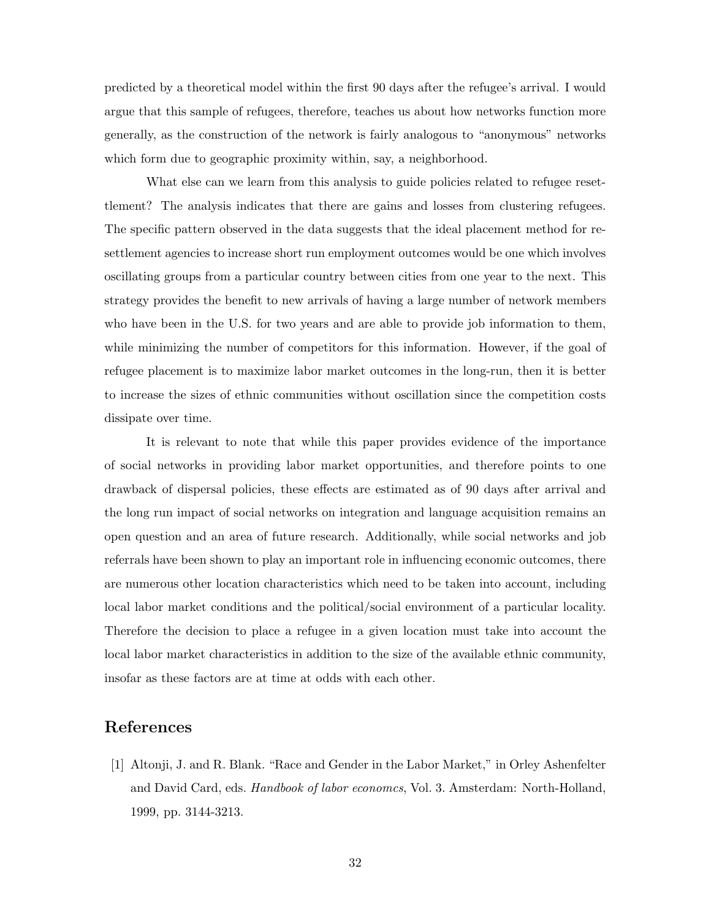predicted by a theoretical model within the first 90 days after the refugee's arrival. I would argue that this sample of refugees, therefore, teaches us about how networks function more generally, as the construction of the network is fairly analogous to "anonymous" networks which form due to geographic proximity within, say, a neighborhood.

What else can we learn from this analysis to guide policies related to refugee resettlement? The analysis indicates that there are gains and losses from clustering refugees. The specific pattern observed in the data suggests that the ideal placement method for resettlement agencies to increase short run employment outcomes would be one which involves oscillating groups from a particular country between cities from one year to the next. This strategy provides the benefit to new arrivals of having a large number of network members who have been in the U.S. for two years and are able to provide job information to them, while minimizing the number of competitors for this information. However, if the goal of refugee placement is to maximize labor market outcomes in the long-run, then it is better to increase the sizes of ethnic communities without oscillation since the competition costs dissipate over time.

It is relevant to note that while this paper provides evidence of the importance of social networks in providing labor market opportunities, and therefore points to one drawback of dispersal policies, these effects are estimated as of 90 days after arrival and the long run impact of social networks on integration and language acquisition remains an open question and an area of future research. Additionally, while social networks and job referrals have been shown to play an important role in influencing economic outcomes, there are numerous other location characteristics which need to be taken into account, including local labor market conditions and the political/social environment of a particular locality. Therefore the decision to place a refugee in a given location must take into account the local labor market characteristics in addition to the size of the available ethnic community, insofar as these factors are at time at odds with each other.

# References

[1] Altonji, J. and R. Blank. "Race and Gender in the Labor Market," in Orley Ashenfelter and David Card, eds. Handbook of labor economcs, Vol. 3. Amsterdam: North-Holland, 1999, pp. 3144-3213.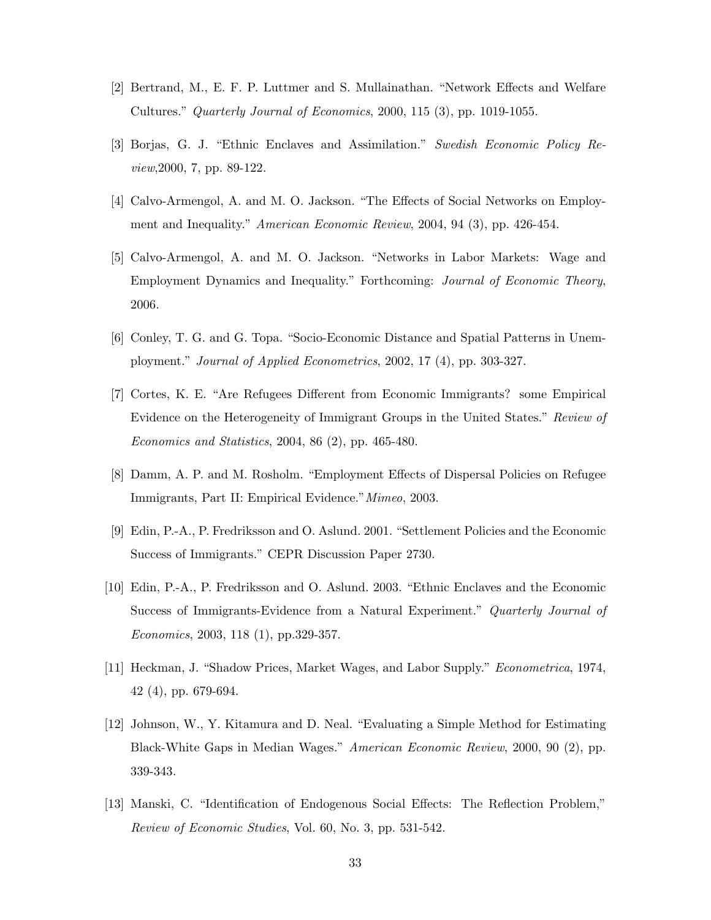- [2] Bertrand, M., E. F. P. Luttmer and S. Mullainathan. "Network Effects and Welfare Cultures." Quarterly Journal of Economics, 2000, 115 (3), pp. 1019-1055.
- [3] Borjas, G. J. "Ethnic Enclaves and Assimilation." Swedish Economic Policy Review,2000, 7, pp. 89-122.
- [4] Calvo-Armengol, A. and M. O. Jackson. "The Effects of Social Networks on Employment and Inequality." American Economic Review, 2004, 94 (3), pp. 426-454.
- [5] Calvo-Armengol, A. and M. O. Jackson. "Networks in Labor Markets: Wage and Employment Dynamics and Inequality." Forthcoming: Journal of Economic Theory, 2006.
- [6] Conley, T. G. and G. Topa. "Socio-Economic Distance and Spatial Patterns in Unemployment." Journal of Applied Econometrics, 2002, 17 (4), pp. 303-327.
- [7] Cortes, K. E. "Are Refugees Different from Economic Immigrants? some Empirical Evidence on the Heterogeneity of Immigrant Groups in the United States." Review of Economics and Statistics, 2004, 86 (2), pp. 465-480.
- [8] Damm, A. P. and M. Rosholm. "Employment Effects of Dispersal Policies on Refugee Immigrants, Part II: Empirical Evidence."Mimeo, 2003.
- [9] Edin, P.-A., P. Fredriksson and O. Aslund. 2001. "Settlement Policies and the Economic Success of Immigrants." CEPR Discussion Paper 2730.
- [10] Edin, P.-A., P. Fredriksson and O. Aslund. 2003. "Ethnic Enclaves and the Economic Success of Immigrants-Evidence from a Natural Experiment." Quarterly Journal of Economics, 2003, 118 (1), pp.329-357.
- [11] Heckman, J. "Shadow Prices, Market Wages, and Labor Supply." Econometrica, 1974, 42 (4), pp. 679-694.
- [12] Johnson, W., Y. Kitamura and D. Neal. "Evaluating a Simple Method for Estimating Black-White Gaps in Median Wages." American Economic Review, 2000, 90 (2), pp. 339-343.
- [13] Manski, C. "Identification of Endogenous Social Effects: The Reflection Problem," Review of Economic Studies, Vol. 60, No. 3, pp. 531-542.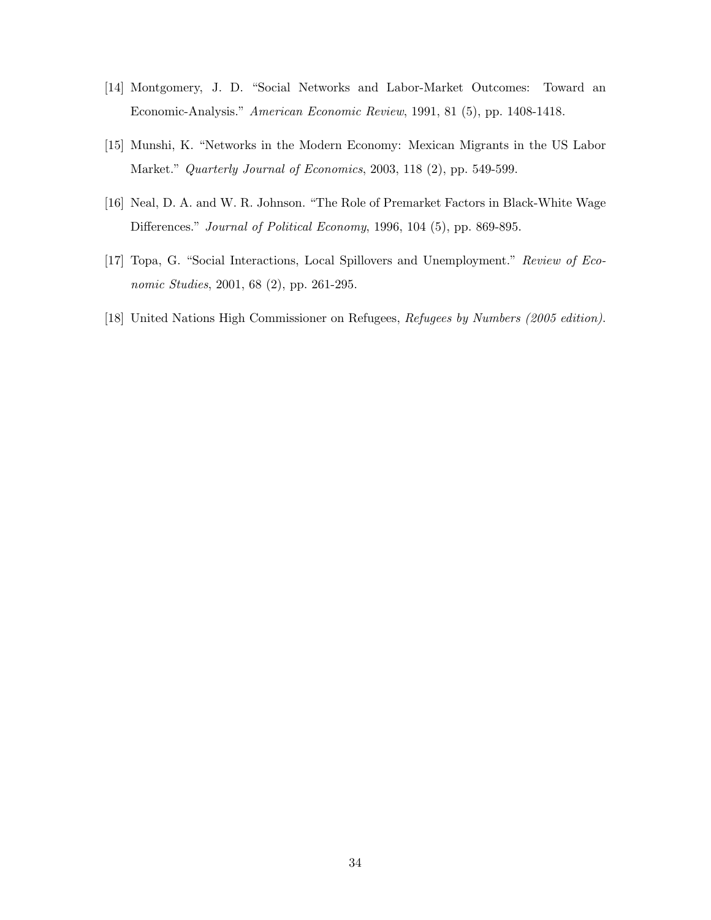- [14] Montgomery, J. D. "Social Networks and Labor-Market Outcomes: Toward an Economic-Analysis." American Economic Review, 1991, 81 (5), pp. 1408-1418.
- [15] Munshi, K. "Networks in the Modern Economy: Mexican Migrants in the US Labor Market." Quarterly Journal of Economics, 2003, 118 (2), pp. 549-599.
- [16] Neal, D. A. and W. R. Johnson. "The Role of Premarket Factors in Black-White Wage Differences." Journal of Political Economy, 1996, 104 (5), pp. 869-895.
- [17] Topa, G. "Social Interactions, Local Spillovers and Unemployment." Review of Economic Studies, 2001, 68 (2), pp. 261-295.
- [18] United Nations High Commissioner on Refugees, Refugees by Numbers (2005 edition).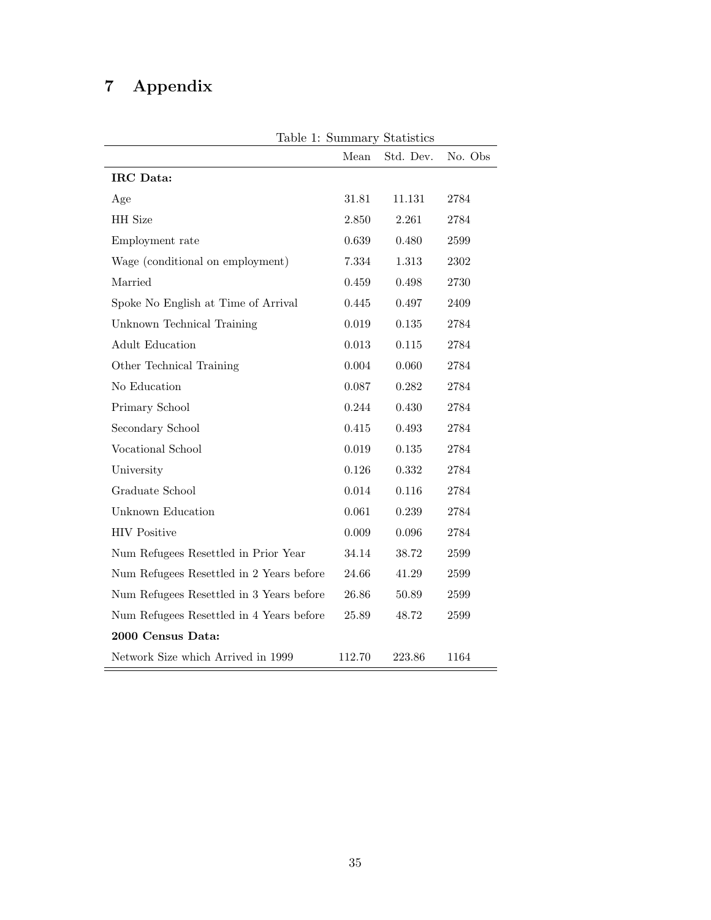# 7 Appendix

| Table 1: Summary Statistics              |           |           |         |  |
|------------------------------------------|-----------|-----------|---------|--|
|                                          | Mean      | Std. Dev. | No. Obs |  |
| IRC Data:                                |           |           |         |  |
| Age                                      | 31.81     | 11.131    | 2784    |  |
| HH Size                                  | 2.850     | 2.261     | 2784    |  |
| Employment rate                          | 0.639     | 0.480     | 2599    |  |
| Wage (conditional on employment)         | 7.334     | 1.313     | 2302    |  |
| Married                                  | 0.459     | 0.498     | 2730    |  |
| Spoke No English at Time of Arrival      | 0.445     | 0.497     | 2409    |  |
| Unknown Technical Training               | 0.019     | 0.135     | 2784    |  |
| <b>Adult Education</b>                   | $0.013\,$ | $0.115\,$ | 2784    |  |
| Other Technical Training                 | 0.004     | 0.060     | 2784    |  |
| No Education                             | 0.087     | 0.282     | 2784    |  |
| Primary School                           | 0.244     | 0.430     | 2784    |  |
| Secondary School                         | 0.415     | 0.493     | 2784    |  |
| Vocational School                        | 0.019     | 0.135     | 2784    |  |
| University                               | 0.126     | 0.332     | 2784    |  |
| Graduate School                          | 0.014     | 0.116     | 2784    |  |
| Unknown Education                        | 0.061     | 0.239     | 2784    |  |
| <b>HIV Positive</b>                      | 0.009     | 0.096     | 2784    |  |
| Num Refugees Resettled in Prior Year     | 34.14     | 38.72     | 2599    |  |
| Num Refugees Resettled in 2 Years before | 24.66     | 41.29     | 2599    |  |
| Num Refugees Resettled in 3 Years before | 26.86     | 50.89     | 2599    |  |
| Num Refugees Resettled in 4 Years before | 25.89     | 48.72     | 2599    |  |
| 2000 Census Data:                        |           |           |         |  |
| Network Size which Arrived in 1999       | 112.70    | 223.86    | 1164    |  |

Table 1: Summary Statistics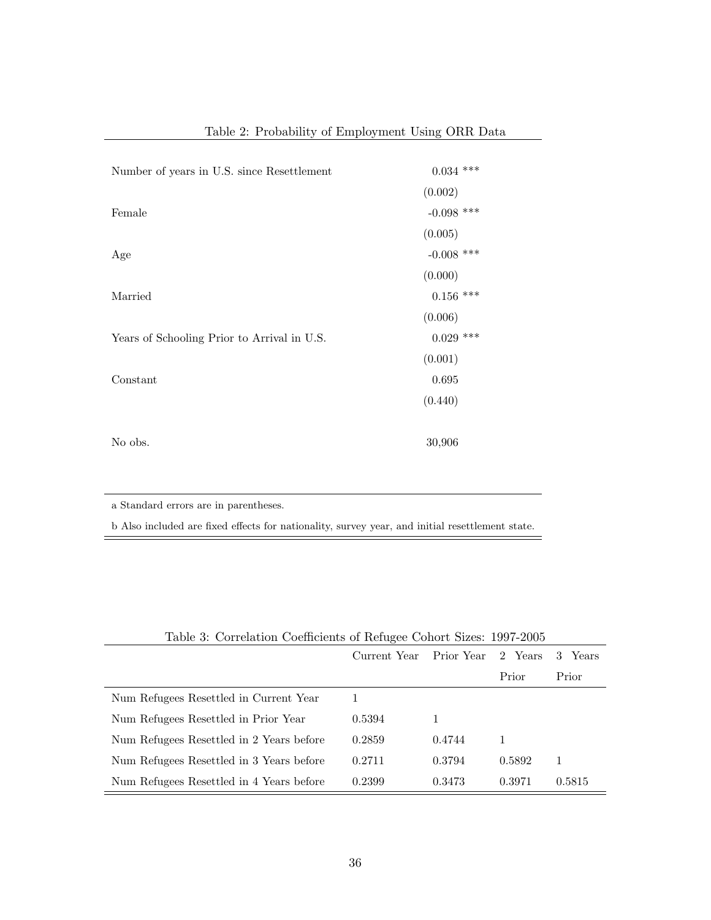| Number of years in U.S. since Resettlement  | $0.034$ ***  |
|---------------------------------------------|--------------|
|                                             | (0.002)      |
| Female                                      | $-0.098$ *** |
|                                             | (0.005)      |
| Age                                         | $-0.008$ *** |
|                                             | (0.000)      |
| Married                                     | $0.156$ ***  |
|                                             | (0.006)      |
| Years of Schooling Prior to Arrival in U.S. | $0.029$ ***  |
|                                             | (0.001)      |
| Constant                                    | 0.695        |
|                                             | (0.440)      |
|                                             |              |
| No obs.                                     | 30,906       |
|                                             |              |

Table 2: Probability of Employment Using ORR Data

a Standard errors are in parentheses.

b Also included are fixed effects for nationality, survey year, and initial resettlement state.

|                                          | Current Year | Prior Year | 2 Years | Years<br>3 |
|------------------------------------------|--------------|------------|---------|------------|
|                                          |              |            | Prior   | Prior      |
| Num Refugees Resettled in Current Year   |              |            |         |            |
| Num Refugees Resettled in Prior Year     | 0.5394       |            |         |            |
| Num Refugees Resettled in 2 Years before | 0.2859       | 0.4744     |         |            |
| Num Refugees Resettled in 3 Years before | 0.2711       | 0.3794     | 0.5892  |            |
| Num Refugees Resettled in 4 Years before | 0.2399       | 0.3473     | 0.3971  | 0.5815     |

Table 3: Correlation Coefficients of Refugee Cohort Sizes: 1997-2005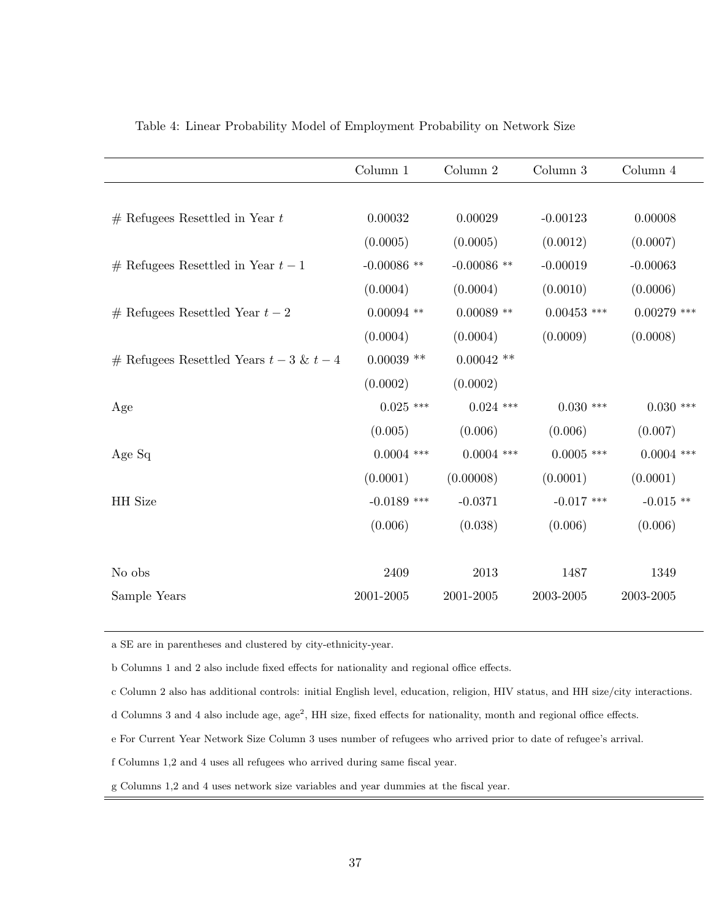|                                           | Column 1                | Column 2      | Column 3      | Column 4      |
|-------------------------------------------|-------------------------|---------------|---------------|---------------|
|                                           |                         |               |               |               |
| $#$ Refugees Resettled in Year $t$        | 0.00032                 | 0.00029       | $-0.00123$    | 0.00008       |
|                                           | (0.0005)                | (0.0005)      | (0.0012)      | (0.0007)      |
| # Refugees Resettled in Year $t-1$        | $-0.00086$ **           | $-0.00086$ ** | $-0.00019$    | $-0.00063$    |
|                                           | (0.0004)                | (0.0004)      | (0.0010)      | (0.0006)      |
| $#$ Refugees Resettled Year $t-2$         | $0.00094$ $\mathrm{**}$ | $0.00089**$   | $0.00453$ *** | $0.00279$ *** |
|                                           | (0.0004)                | (0.0004)      | (0.0009)      | (0.0008)      |
| $#$ Refugees Resettled Years $t-3 \& t-4$ | $0.00039$ **            | $0.00042$ **  |               |               |
|                                           | (0.0002)                | (0.0002)      |               |               |
| Age                                       | $0.025$ ***             | $0.024$ ***   | $0.030$ ***   | $0.030$ ***   |
|                                           | (0.005)                 | (0.006)       | (0.006)       | (0.007)       |
| Age Sq                                    | $0.0004$ ***            | $0.0004$ ***  | $0.0005$ ***  | $0.0004$ ***  |
|                                           | (0.0001)                | (0.00008)     | (0.0001)      | (0.0001)      |
| HH Size                                   | $-0.0189$ ***           | $-0.0371$     | $-0.017$ ***  | $-0.015$ **   |
|                                           | (0.006)                 | (0.038)       | (0.006)       | (0.006)       |
|                                           |                         |               |               |               |
| No obs                                    | 2409                    | 2013          | 1487          | 1349          |
| Sample Years                              | 2001-2005               | 2001-2005     | 2003-2005     | 2003-2005     |

Table 4: Linear Probability Model of Employment Probability on Network Size

a SE are in parentheses and clustered by city-ethnicity-year.

b Columns 1 and 2 also include fixed effects for nationality and regional office effects.

c Column 2 also has additional controls: initial English level, education, religion, HIV status, and HH size/city interactions.

d Columns 3 and 4 also include age, age<sup>2</sup> , HH size, fixed effects for nationality, month and regional office effects.

e For Current Year Network Size Column 3 uses number of refugees who arrived prior to date of refugee's arrival.

f Columns 1,2 and 4 uses all refugees who arrived during same fiscal year.

g Columns 1,2 and 4 uses network size variables and year dummies at the fiscal year.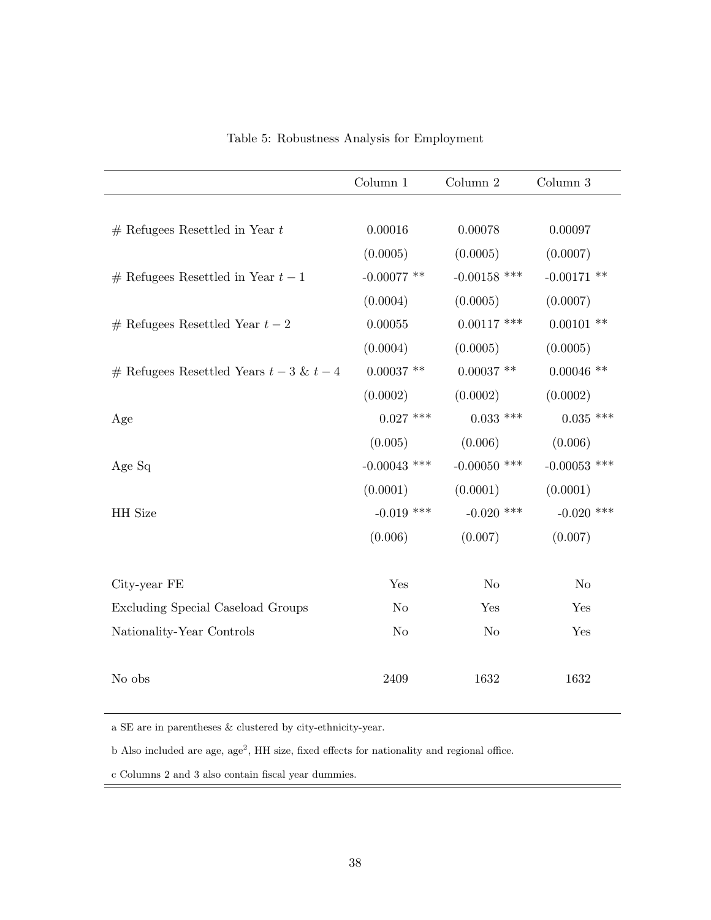|                                          | Column 1       | Column 2       | Column 3       |
|------------------------------------------|----------------|----------------|----------------|
|                                          |                |                |                |
| $#$ Refugees Resettled in Year t         | 0.00016        | 0.00078        | 0.00097        |
|                                          | (0.0005)       | (0.0005)       | (0.0007)       |
| $#$ Refugees Resettled in Year $t-1$     | $-0.00077$ **  | $-0.00158$ *** | $-0.00171$ **  |
|                                          | (0.0004)       | (0.0005)       | (0.0007)       |
| $#$ Refugees Resettled Year $t-2$        | 0.00055        | $0.00117$ ***  | $0.00101$ **   |
|                                          | (0.0004)       | (0.0005)       | (0.0005)       |
| # Refugees Resettled Years $t-3$ & $t-4$ | $0.00037$ **   | $0.00037$ **   | $0.00046$ **   |
|                                          | (0.0002)       | (0.0002)       | (0.0002)       |
| Age                                      | $0.027$ ***    | $0.033$ ***    | $0.035$ ***    |
|                                          | (0.005)        | (0.006)        | (0.006)        |
| Age Sq                                   | $-0.00043$ *** | $-0.00050$ *** | $-0.00053$ *** |
|                                          | (0.0001)       | (0.0001)       | (0.0001)       |
| HH Size                                  | $-0.019$ ***   | $-0.020$ ***   | $-0.020$ ***   |
|                                          | (0.006)        | (0.007)        | (0.007)        |
|                                          |                |                |                |
| City-year FE                             | Yes            | N <sub>o</sub> | N <sub>o</sub> |
| Excluding Special Caseload Groups        | N <sub>o</sub> | Yes            | Yes            |
| Nationality-Year Controls                | N <sub>o</sub> | N <sub>o</sub> | Yes            |
|                                          |                |                |                |
| No obs                                   | 2409           | 1632           | 1632           |

Table 5: Robustness Analysis for Employment

a SE are in parentheses & clustered by city-ethnicity-year.

b Also included are age, age<sup>2</sup>, HH size, fixed effects for nationality and regional office.

c Columns 2 and 3 also contain fiscal year dummies.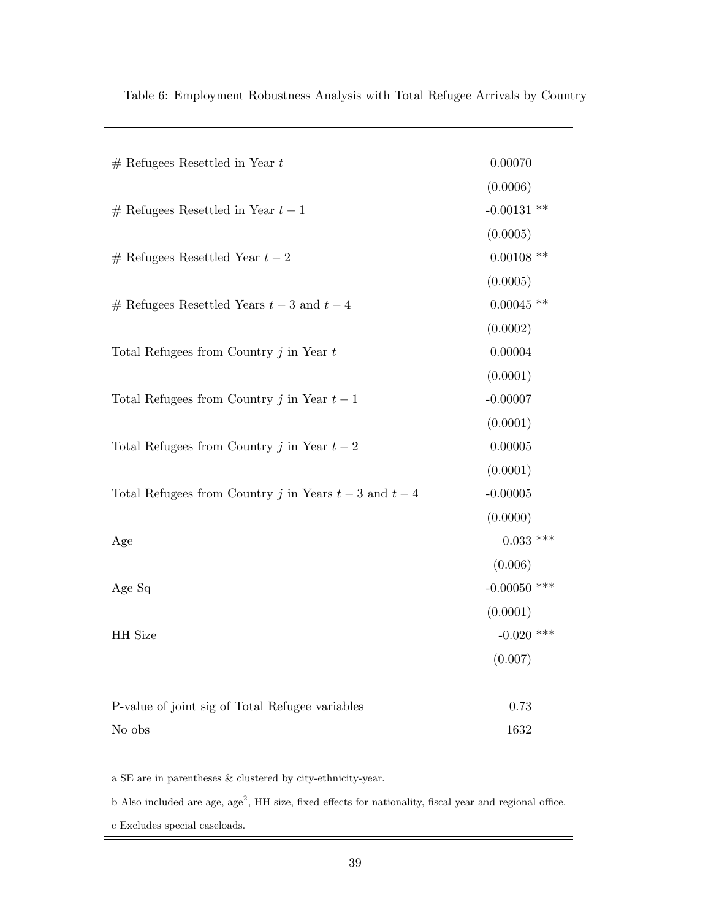| $#$ Refugees Resettled in Year $t$                     | 0.00070        |
|--------------------------------------------------------|----------------|
|                                                        | (0.0006)       |
| $#$ Refugees Resettled in Year $t-1$                   | $-0.00131$ **  |
|                                                        | (0.0005)       |
| $#$ Refugees Resettled Year $t-2$                      | $0.00108$ **   |
|                                                        | (0.0005)       |
| $#$ Refugees Resettled Years $t-3$ and $t-4$           | $0.00045$ **   |
|                                                        | (0.0002)       |
| Total Refugees from Country $j$ in Year $t$            | 0.00004        |
|                                                        | (0.0001)       |
| Total Refugees from Country j in Year $t-1$            | $-0.00007$     |
|                                                        | (0.0001)       |
| Total Refugees from Country j in Year $t-2$            | 0.00005        |
|                                                        | (0.0001)       |
| Total Refugees from Country j in Years $t-3$ and $t-4$ | $-0.00005$     |
|                                                        | (0.0000)       |
| Age                                                    | $0.033$ ***    |
|                                                        | (0.006)        |
| Age Sq                                                 | $-0.00050$ *** |
|                                                        | (0.0001)       |
| HH Size                                                | $-0.020$ ***   |
|                                                        | (0.007)        |
|                                                        |                |
| P-value of joint sig of Total Refugee variables        | 0.73           |
| No obs                                                 | 1632           |
|                                                        |                |

Table 6: Employment Robustness Analysis with Total Refugee Arrivals by Country

a SE are in parentheses & clustered by city-ethnicity-year.

b Also included are age, age<sup>2</sup>, HH size, fixed effects for nationality, fiscal year and regional office.

c Excludes special caseloads.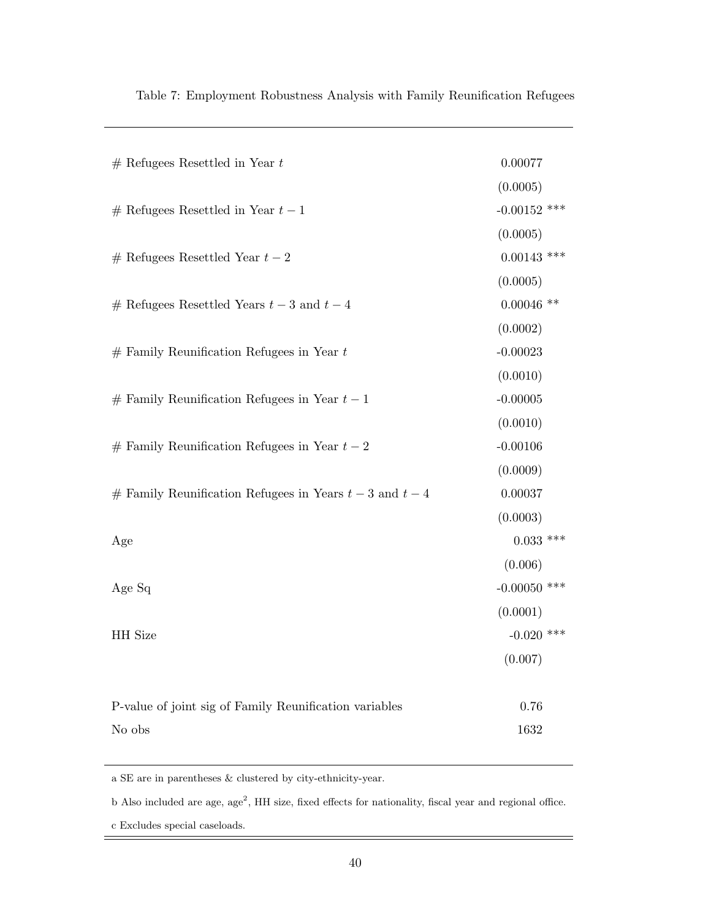| $#$ Refugees Resettled in Year $t$                         | 0.00077        |
|------------------------------------------------------------|----------------|
|                                                            | (0.0005)       |
| $#$ Refugees Resettled in Year $t-1$                       | $-0.00152$ *** |
|                                                            | (0.0005)       |
| $#$ Refugees Resettled Year $t-2$                          | $0.00143$ ***  |
|                                                            | (0.0005)       |
| $#$ Refugees Resettled Years $t-3$ and $t-4$               | $0.00046$ **   |
|                                                            | (0.0002)       |
| $#$ Family Reunification Refugees in Year $t$              | $-0.00023$     |
|                                                            | (0.0010)       |
| $#$ Family Reunification Refugees in Year $t-1$            | $-0.00005$     |
|                                                            | (0.0010)       |
| # Family Reunification Refugees in Year $t-2$              | $-0.00106$     |
|                                                            | (0.0009)       |
| $#$ Family Reunification Refugees in Years $t-3$ and $t-4$ | 0.00037        |
|                                                            | (0.0003)       |
| Age                                                        | $0.033$ ***    |
|                                                            | (0.006)        |
| Age Sq                                                     | $-0.00050$ *** |
|                                                            | (0.0001)       |
| HH Size                                                    | $-0.020$ ***   |
|                                                            | (0.007)        |
|                                                            |                |
| P-value of joint sig of Family Reunification variables     | 0.76           |
| No obs                                                     | 1632           |
|                                                            |                |

Table 7: Employment Robustness Analysis with Family Reunification Refugees

a SE are in parentheses & clustered by city-ethnicity-year.

b Also included are age, age<sup>2</sup>, HH size, fixed effects for nationality, fiscal year and regional office.

c Excludes special caseloads.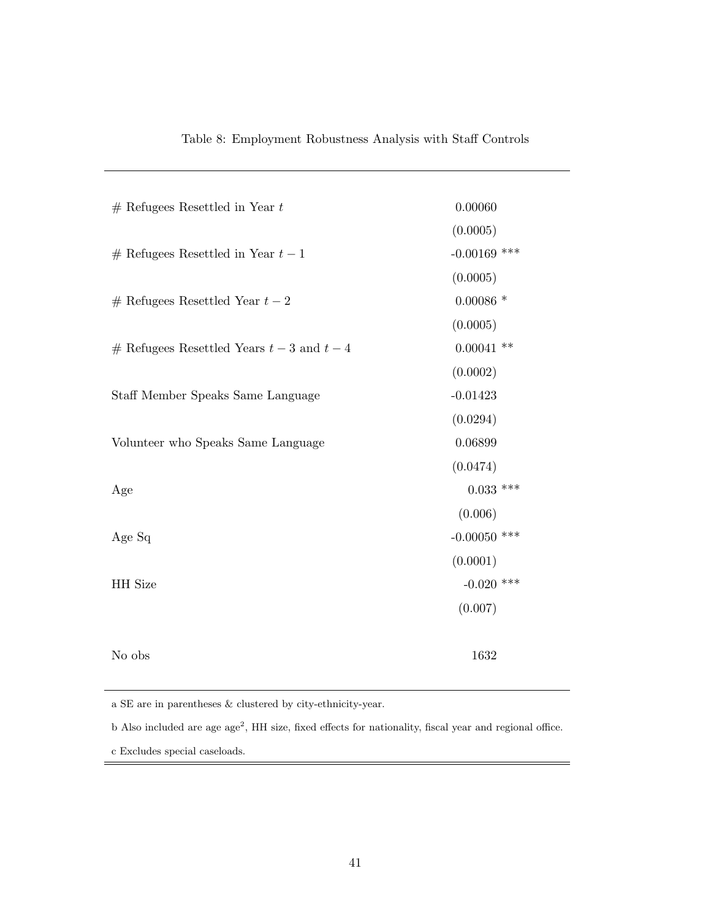| $#$ Refugees Resettled in Year $t$           | 0.00060        |
|----------------------------------------------|----------------|
|                                              | (0.0005)       |
| $#$ Refugees Resettled in Year $t-1$         | $-0.00169$ *** |
|                                              | (0.0005)       |
| $#$ Refugees Resettled Year $t-2$            | $0.00086*$     |
|                                              | (0.0005)       |
| $#$ Refugees Resettled Years $t-3$ and $t-4$ | $0.00041$ **   |
|                                              | (0.0002)       |
| Staff Member Speaks Same Language            | $-0.01423$     |
|                                              | (0.0294)       |
| Volunteer who Speaks Same Language           | 0.06899        |
|                                              | (0.0474)       |
| Age                                          | $0.033$ ***    |
|                                              | (0.006)        |
| Age Sq                                       | $-0.00050$ *** |
|                                              | (0.0001)       |
| HH Size                                      | $-0.020$ ***   |
|                                              | (0.007)        |
|                                              |                |
| No obs                                       | 1632           |
|                                              |                |

| Table 8: Employment Robustness Analysis with Staff Controls |  |  |  |  |
|-------------------------------------------------------------|--|--|--|--|
|-------------------------------------------------------------|--|--|--|--|

a SE are in parentheses & clustered by city-ethnicity-year.

b Also included are age age<sup>2</sup>, HH size, fixed effects for nationality, fiscal year and regional office.

c Excludes special caseloads.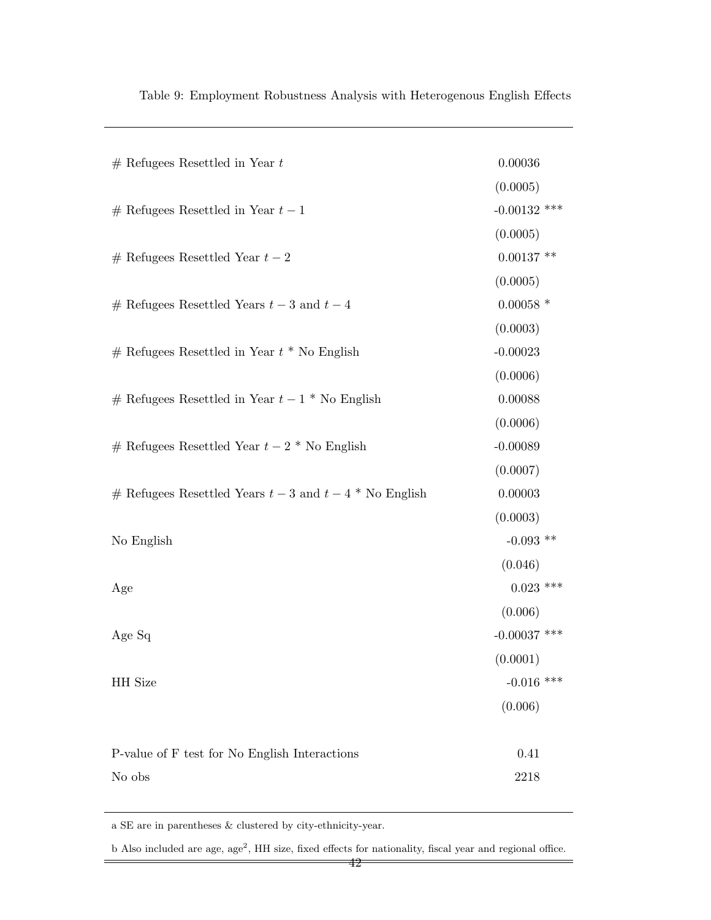| $#$ Refugees Resettled in Year $t$                        | 0.00036        |
|-----------------------------------------------------------|----------------|
|                                                           | (0.0005)       |
| $#$ Refugees Resettled in Year $t-1$                      | $-0.00132$ *** |
|                                                           | (0.0005)       |
| $#$ Refugees Resettled Year $t-2$                         | $0.00137$ **   |
|                                                           | (0.0005)       |
| $#$ Refugees Resettled Years $t-3$ and $t-4$              | $0.00058$ *    |
|                                                           | (0.0003)       |
| $#$ Refugees Resettled in Year $t *$ No English           | $-0.00023$     |
|                                                           | (0.0006)       |
| $#$ Refugees Resettled in Year $t-1$ * No English         | 0.00088        |
|                                                           | (0.0006)       |
| $#$ Refugees Resettled Year $t-2$ * No English            | $-0.00089$     |
|                                                           | (0.0007)       |
| $#$ Refugees Resettled Years $t-3$ and $t-4$ * No English | 0.00003        |
|                                                           | (0.0003)       |
| No English                                                | $-0.093$ **    |
|                                                           | (0.046)        |
| Age                                                       | $0.023$ ***    |
|                                                           | (0.006)        |
| Age Sq                                                    | $-0.00037$ *** |
|                                                           | (0.0001)       |
| HH Size                                                   | $-0.016$ ***   |
|                                                           | (0.006)        |
|                                                           |                |
| P-value of F test for No English Interactions             | 0.41           |
| No obs                                                    | 2218           |
|                                                           |                |

Table 9: Employment Robustness Analysis with Heterogenous English Effects

a SE are in parentheses & clustered by city-ethnicity-year.

b Also included are age, age<sup>2</sup>, HH size, fixed effects for nationality, fiscal year and regional office.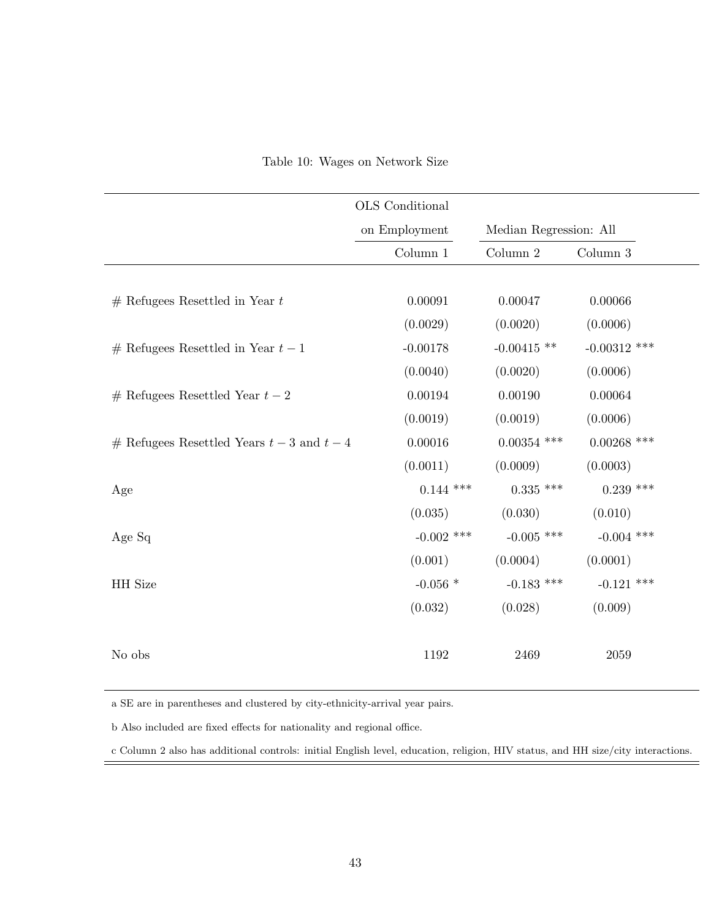|                                            | OLS Conditional  |                        |                |
|--------------------------------------------|------------------|------------------------|----------------|
|                                            | on Employment    | Median Regression: All |                |
|                                            | Column 1         | Column 2               | Column $3$     |
|                                            |                  |                        |                |
| $#$ Refugees Resettled in Year t           | 0.00091          | 0.00047                | 0.00066        |
|                                            | (0.0029)         | (0.0020)               | (0.0006)       |
| $#$ Refugees Resettled in Year $t-1$       | $-0.00178$       | $-0.00415$ **          | $-0.00312$ *** |
|                                            | (0.0040)         | (0.0020)               | (0.0006)       |
| $#$ Refugees Resettled Year $t-2$          | 0.00194          | 0.00190                | 0.00064        |
|                                            | (0.0019)         | (0.0019)               | (0.0006)       |
| # Refugees Resettled Years $t-3$ and $t-4$ | 0.00016          | $0.00354$ ***          | $0.00268$ ***  |
|                                            | (0.0011)         | (0.0009)               | (0.0003)       |
| Age                                        | $0.144$ ***      | $0.335$ ***            | $0.239$ ***    |
|                                            | (0.035)          | (0.030)                | (0.010)        |
| Age Sq                                     | $-0.002$ ***     | $-0.005$ ***           | $-0.004$ ***   |
|                                            | (0.001)          | (0.0004)               | (0.0001)       |
| HH Size                                    | -0.056 $^{\ast}$ | $-0.183$ ***           | $-0.121$ ***   |
|                                            | (0.032)          | (0.028)                | (0.009)        |
|                                            |                  |                        |                |
| No obs                                     | 1192             | 2469                   | $2059\,$       |

# Table 10: Wages on Network Size

a SE are in parentheses and clustered by city-ethnicity-arrival year pairs.

b Also included are fixed effects for nationality and regional office.

c Column 2 also has additional controls: initial English level, education, religion, HIV status, and HH size/city interactions.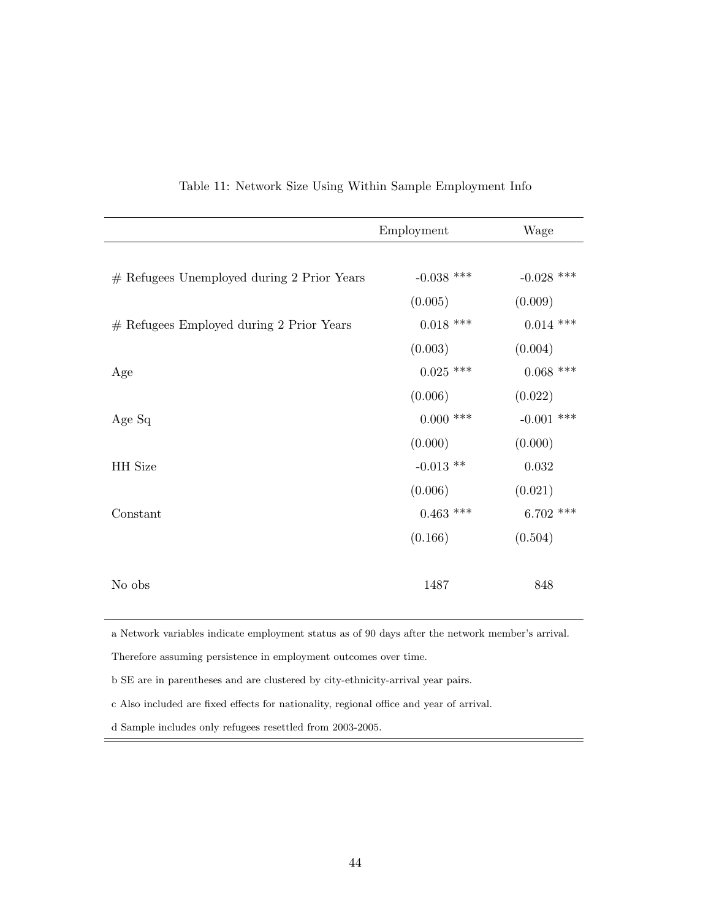|                                            | Employment   | Wage         |
|--------------------------------------------|--------------|--------------|
|                                            |              |              |
| # Refugees Unemployed during 2 Prior Years | $-0.038$ *** | $-0.028$ *** |
|                                            | (0.005)      | (0.009)      |
| # Refugees Employed during 2 Prior Years   | $0.018$ ***  | $0.014$ ***  |
|                                            | (0.003)      | (0.004)      |
| Age                                        | $0.025$ ***  | $0.068$ ***  |
|                                            | (0.006)      | (0.022)      |
| Age Sq                                     | $0.000$ ***  | $-0.001$ *** |
|                                            | (0.000)      | (0.000)      |
| HH Size                                    | $-0.013$ **  | $\,0.032\,$  |
|                                            | (0.006)      | (0.021)      |
| Constant                                   | $0.463$ ***  | $6.702$ ***  |
|                                            | (0.166)      | (0.504)      |
|                                            |              |              |
| No obs                                     | 1487         | 848          |
|                                            |              |              |

#### Table 11: Network Size Using Within Sample Employment Info

a Network variables indicate employment status as of 90 days after the network member's arrival.

Therefore assuming persistence in employment outcomes over time.

b SE are in parentheses and are clustered by city-ethnicity-arrival year pairs.

c Also included are fixed effects for nationality, regional office and year of arrival.

d Sample includes only refugees resettled from 2003-2005.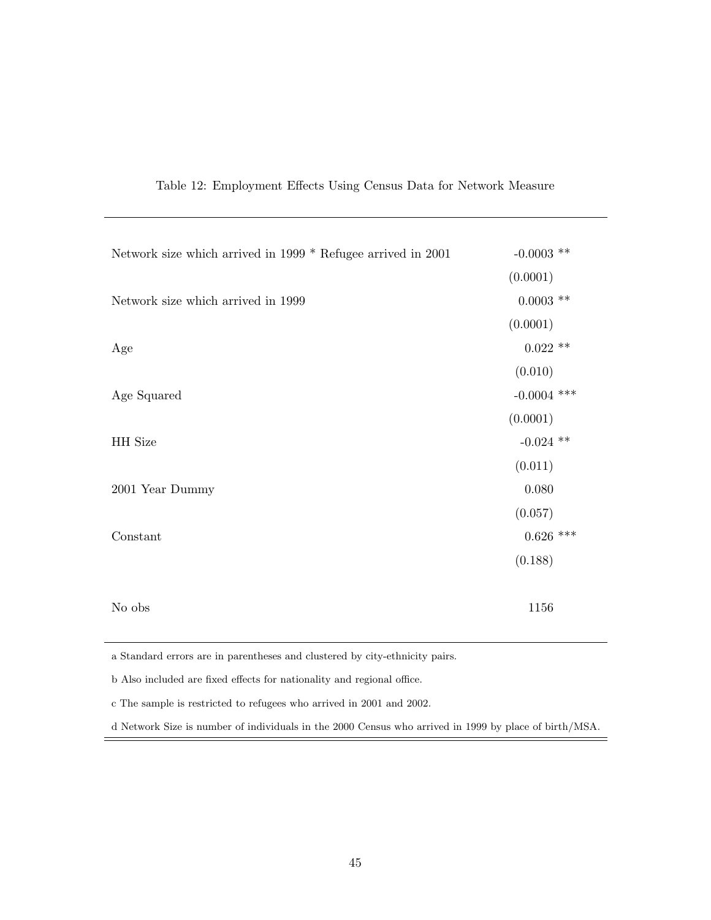| Table 12: Employment Effects Using Census Data for Network Measure |  |  |  |  |  |  |  |
|--------------------------------------------------------------------|--|--|--|--|--|--|--|
|--------------------------------------------------------------------|--|--|--|--|--|--|--|

| Network size which arrived in 1999 * Refugee arrived in 2001 | -0.0003 $^{**}$ |
|--------------------------------------------------------------|-----------------|
|                                                              | (0.0001)        |
| Network size which arrived in 1999                           | $0.0003$ **     |
|                                                              | (0.0001)        |
| Age                                                          | $0.022$ **      |
|                                                              | (0.010)         |
| Age Squared                                                  | $-0.0004$ ***   |
|                                                              | (0.0001)        |
| HH Size                                                      | $-0.024$ **     |
|                                                              | (0.011)         |
| 2001 Year Dummy                                              | $0.080\,$       |
|                                                              | (0.057)         |
| Constant                                                     | $0.626$ ***     |
|                                                              | (0.188)         |
|                                                              |                 |
| No obs                                                       | 1156            |

a Standard errors are in parentheses and clustered by city-ethnicity pairs.

b Also included are fixed effects for nationality and regional office.

c The sample is restricted to refugees who arrived in 2001 and 2002.

d Network Size is number of individuals in the 2000 Census who arrived in 1999 by place of birth/MSA.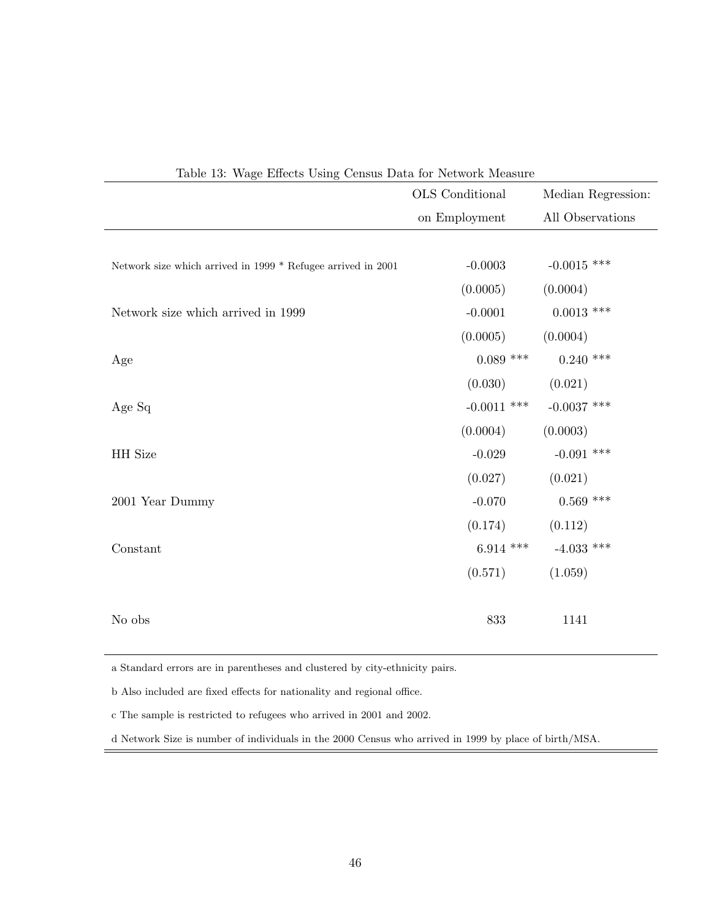| Table 13: Wage Effects Using Census Data for Network Measure |                 |                    |  |  |  |  |
|--------------------------------------------------------------|-----------------|--------------------|--|--|--|--|
|                                                              | OLS Conditional | Median Regression: |  |  |  |  |
|                                                              | on Employment   | All Observations   |  |  |  |  |
|                                                              |                 |                    |  |  |  |  |
| Network size which arrived in 1999 * Refugee arrived in 2001 | $-0.0003$       | $-0.0015$ ***      |  |  |  |  |
|                                                              | (0.0005)        | (0.0004)           |  |  |  |  |
| Network size which arrived in 1999                           | $-0.0001$       | $0.0013$ ***       |  |  |  |  |
|                                                              | (0.0005)        | (0.0004)           |  |  |  |  |
| Age                                                          | $0.089$ ***     | $0.240$ ***        |  |  |  |  |
|                                                              | (0.030)         | (0.021)            |  |  |  |  |
| Age Sq                                                       | $-0.0011$ ***   | -0.0037 ***        |  |  |  |  |
|                                                              | (0.0004)        | (0.0003)           |  |  |  |  |
| HH Size                                                      | $-0.029$        | $-0.091$ ***       |  |  |  |  |
|                                                              | (0.027)         | (0.021)            |  |  |  |  |
| 2001 Year Dummy                                              | $-0.070$        | $0.569$ ***        |  |  |  |  |
|                                                              | (0.174)         | (0.112)            |  |  |  |  |
| Constant                                                     | $6.914$ ***     | $-4.033$ ***       |  |  |  |  |
|                                                              | (0.571)         | (1.059)            |  |  |  |  |
|                                                              |                 |                    |  |  |  |  |
| No obs                                                       | 833             | 1141               |  |  |  |  |
|                                                              |                 |                    |  |  |  |  |

a Standard errors are in parentheses and clustered by city-ethnicity pairs.

b Also included are fixed effects for nationality and regional office.

c The sample is restricted to refugees who arrived in 2001 and 2002.

d Network Size is number of individuals in the 2000 Census who arrived in 1999 by place of birth/MSA.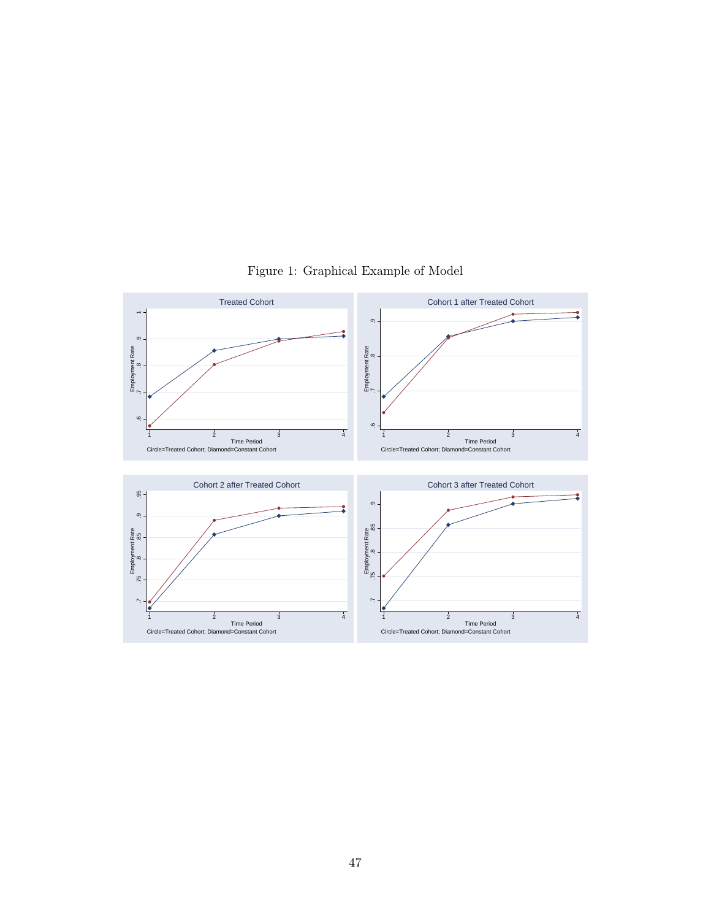

Figure 1: Graphical Example of Model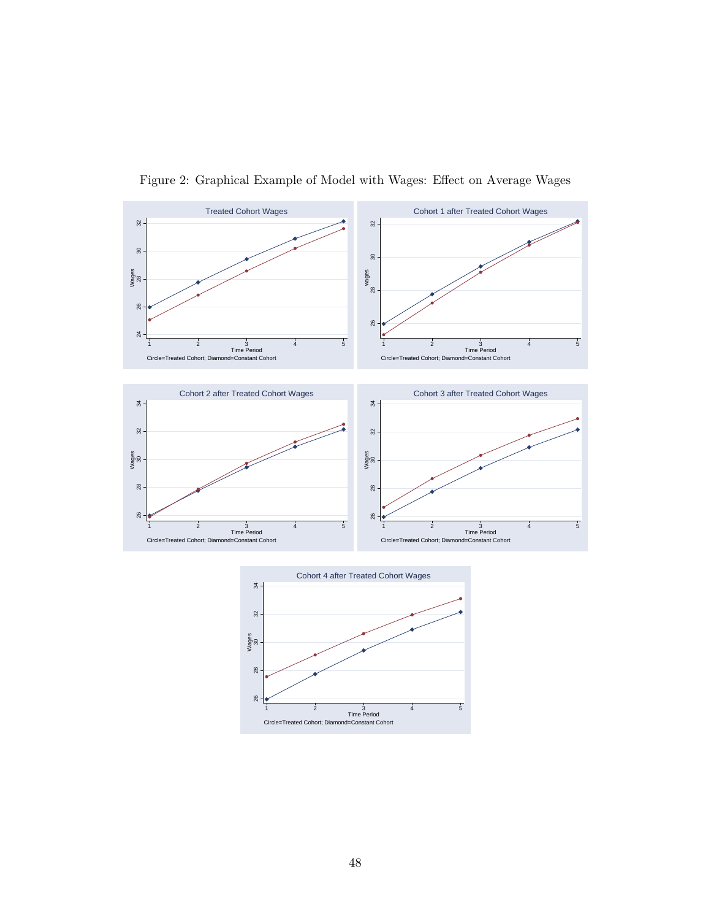

Figure 2: Graphical Example of Model with Wages: Effect on Average Wages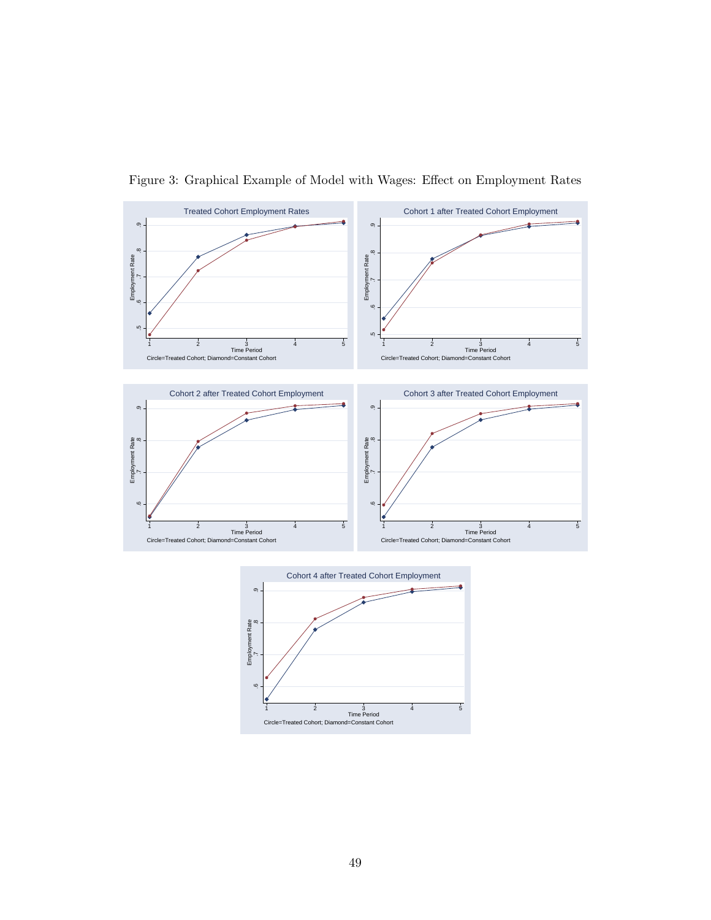

Figure 3: Graphical Example of Model with Wages: Effect on Employment Rates